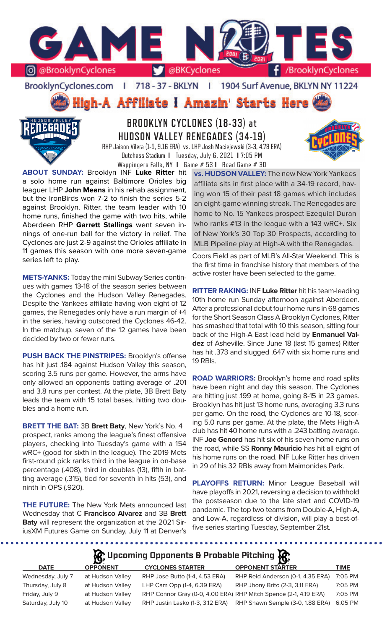

BrooklynCyclones.com | 718 - 37 - BKLYN - 11 1904 Surf Avenue, BKLYN NY 11224

High-A Affiliate I Amazin' Starts Here



# **BROOKLYN CYCLONES (18-33) at HUDSON VALLEY RENEGADES (34-19)**

RHP Jaison Vilera (1-5, 9.16 ERA) vs. LHP Josh Maciejewski (3-3, 4.78 ERA) Dutchess Stadium **I** Tuesday, July 6, 2021 **I** 7:05 PM Wappingers Falls, NY **I** Game # 53 **I** Road Game # 30

**ABOUT SUNDAY:** Brooklyn INF **Luke Ritter** hit a solo home run against Baltimore Orioles big leaguer LHP **John Means** in his rehab assignment, but the IronBirds won 7-2 to finish the series 5-2 against Brooklyn. Ritter, the team leader with 10 home runs, finished the game with two hits, while Aberdeen RHP **Garrett Stallings** went seven innings of one-run ball for the victory in relief. The Cyclones are just 2-9 against the Orioles affiliate in 11 games this season with one more seven-game series left to play.

**METS-YANKS:** Today the mini Subway Series continues with games 13-18 of the season series between the Cyclones and the Hudson Valley Renegades. Despite the Yankees affiliate having won eight of 12 games, the Renegades only have a run margin of +4 in the series, having outscored the Cyclones 46-42. In the matchup, seven of the 12 games have been decided by two or fewer runs.

**PUSH BACK THE PINSTRIPES:** Brooklyn's offense has hit just .184 against Hudson Valley this season, scoring 3.5 runs per game. However, the arms have only allowed an opponents batting average of .201 and 3.8 runs per contest. At the plate, 3B Brett Baty leads the team with 15 total bases, hitting two doubles and a home run.

**BRETT THE BAT:** 3B **Brett Baty**, New York's No. 4 prospect, ranks among the league's finest offensive players, checking into Tuesday's game with a 154 wRC+ (good for sixth in the league). The 2019 Mets first-round pick ranks third in the league in on-base percentage (.408), third in doubles (13), fifth in batting average (.315), tied for seventh in hits (53), and ninth in OPS (.920).

**THE FUTURE:** The New York Mets announced last Wednesday that C **Francisco Alvarez** and 3B **Brett Baty** will represent the organization at the 2021 SiriusXM Futures Game on Sunday, July 11 at Denver's

. . . . . . . .

**vs. HUDSON VALLEY:** The new New York Yankees affiliate sits in first place with a 34-19 record, having won 15 of their past 18 games which includes an eight-game winning streak. The Renegades are home to No. 15 Yankees prospect Ezequiel Duran who ranks #13 in the league with a 143 wRC+. Six of New York's 30 Top 30 Prospects, according to MLB Pipeline play at High-A with the Renegades.

Coors Field as part of MLB's All-Star Weekend. This is the first time in franchise history that members of the active roster have been selected to the game.

**RITTER RAKING:** INF **Luke Ritter** hit his team-leading 10th home run Sunday afternoon against Aberdeen. After a professional debut four home runs in 68 games for the Short Season Class A Brooklyn Cyclones, Ritter has smashed that total with 10 this season, sitting four back of the High-A East lead held by **Enmanuel Valdez** of Asheville. Since June 18 (last 15 games) Ritter has hit .373 and slugged .647 with six home runs and 19 RBIs.

**ROAD WARRIORS:** Brooklyn's home and road splits have been night and day this season. The Cyclones are hitting just .199 at home, going 8-15 in 23 games. Brooklyn has hit just 13 home runs, averaging 3.3 runs per game. On the road, the Cyclones are 10-18, scoring 5.0 runs per game. At the plate, the Mets High-A club has hit 40 home runs with a .243 batting average. INF **Joe Genord** has hit six of his seven home runs on the road, while SS **Ronny Mauricio** has hit all eight of his home runs on the road. INF Luke Ritter has driven in 29 of his 32 RBIs away from Maimonides Park.

**PLAYOFFS RETURN:** Minor League Baseball will have playoffs in 2021, reversing a decision to withhold the postseason due to the late start and COVID-19 pandemic. The top two teams from Double-A, High-A, and Low-A, regardless of division, will play a best-offive series starting Tuesday, September 21st.

**Upcoming Opponents & Probable Pitching**

| $\mathbf{r}$     |                                  | $\boldsymbol{\omega}$   |                                                                                                                                                                              |
|------------------|----------------------------------|-------------------------|------------------------------------------------------------------------------------------------------------------------------------------------------------------------------|
| <b>OPPONENT</b>  | <b>CYCLONES STARTER</b>          | <b>OPPONENT STARTER</b> | <b>TIME</b>                                                                                                                                                                  |
| at Hudson Valley | RHP Jose Butto (1-4, 4.53 ERA)   |                         | 7:05 PM                                                                                                                                                                      |
| at Hudson Valley | LHP Cam Opp (1-4, 6.39 ERA)      |                         | 7:05 PM                                                                                                                                                                      |
| at Hudson Valley |                                  |                         | 7:05 PM                                                                                                                                                                      |
| at Hudson Valley | RHP Justin Lasko (1-3, 3.12 ERA) |                         | 6:05 PM                                                                                                                                                                      |
|                  |                                  |                         | RHP Reid Anderson (0-1, 4.35 ERA)<br>RHP Jhony Brito (2-3, 3.11 ERA)<br>RHP Connor Gray (0-0, 4.00 ERA) RHP Mitch Spence (2-1, 4.19 ERA)<br>RHP Shawn Semple (3-0, 1.88 ERA) |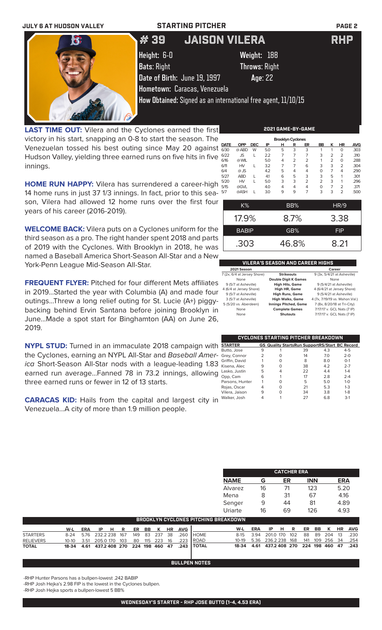

**LAST TIME OUT:** Vilera and the Cyclones earned the first victory in his start, snapping an 0-8 to start the season. The Venezuelan tossed his best outing since May 20 against Hudson Valley, yielding three earned runs on five hits in five innings.

| ∍ |             |            |            |     | <b>Brooklyn Cyclones</b> |   |                |                |   |           |            |
|---|-------------|------------|------------|-----|--------------------------|---|----------------|----------------|---|-----------|------------|
|   | <b>DATE</b> | <b>OPP</b> | <b>DEC</b> | IP  | н                        | R | ER             | <b>BB</b>      | ĸ | <b>HR</b> | <b>AVG</b> |
| t | 6/30        | @ ABD      | W          | 5.0 | 5                        | 3 | 3              |                |   | O         | .303       |
| ≘ | 6/22        | JS         |            | 2.2 | 7                        | 7 | 7              | 3              | 2 | 2         | .310       |
|   | 6/16        | @ WIL      |            | 5.0 | 4                        | 2 | $\overline{2}$ | 1              | 2 | O         | .288       |
|   | 6/11        | HV         |            | 3.2 | 7                        |   | 6              | 3              | 3 | 2         | .304       |
|   | 6/4         | $@$ JS     |            | 4.2 | 5                        | 4 | $\overline{4}$ | O              |   | 4         | .290       |
|   | 5/27        | <b>ABD</b> |            | 41  | 6                        | 5 | 3              | 3              | 5 |           | .301       |
|   | 5/20        | HV         |            | 5.0 | 3                        | 3 | $\overline{2}$ | $\overline{2}$ | 3 |           | .296       |
|   | 5/15        | @GVL       |            | 4.0 | 4                        | 4 | 4              | O              | 7 | 2         | .371       |
|   | 5/7         | @ASH       |            | 3.0 | 9                        | 9 |                | 3              | 3 | 2         | .500       |

**HOME RUN HAPPY:** Vilera has surrendered a career-high 14 home runs in just 37 1/3 innings. In fact, prior to this season, Vilera had allowed 12 home runs over the first four years of his career (2016-2019).

**WELCOME BACK:** Vilera puts on a Cyclones uniform for the third season as a pro. The right hander spent 2018 and parts of 2019 with the Cyclones. With Brooklyn in 2018, he was named a Baseball America Short-Season All-Star and a New York-Penn League Mid-Season All-Star.

**FREQUENT FLYER:** Pitched for four different Mets affiliates in 2019...Started the year with Columbia (A) and made four outings...Threw a long relief outing for St. Lucie (A+) piggybacking behind Ervin Santana before joining Brooklyn in June...Made a spot start for Binghamton (AA) on June 26, 2019.

**NYPL STUD:** Turned in an immaculate 2018 campaign with the Cyclones, earning an NYPL All-Star and *Baseball America* Short-Season All-Star nods with a league-leading 1.83 earned run average...Fanned 78 in 73.2 innings, allowing three earned runs or fewer in 12 of 13 starts.

**CARACAS KID:** Hails from the capital and largest city in Venezuela...A city of more than 1.9 million people.

| ו וכ | <b>CUASH</b> L |  | .3U |       |  |      |            | .500 |
|------|----------------|--|-----|-------|--|------|------------|------|
|      | K%             |  |     | BB%   |  | HR/9 |            |      |
|      | 17.9%          |  |     | 8.7%  |  |      | 3.38       |      |
|      | <b>BABIP</b>   |  |     | GB%   |  |      | <b>FIP</b> |      |
|      | .303           |  |     | 46.8% |  |      | 8.21       |      |

### **VILERA'S SEASON AND CAREER HIGHS**

le Digit K Games

| 2021 Season                 |  |
|-----------------------------|--|
| 7 (2x, 6/4 at Jersey Shore) |  |
| None                        |  |
| 9 (5/7 at Asheville)        |  |
| 4 (6/4 at Jersey Shore)     |  |
| 9 (5/7 at Asheville)        |  |
| 3 (5/7 at Asheville)        |  |
| 5 (5/20 vs. Aberdeen)       |  |
| None                        |  |
| None                        |  |
|                             |  |

**2021 Career**<br>**2021 Strikeouts** 9/3x 5/4/21 at 7 (2x, 6/4 at Jersey Shore) **Strikeouts** 9 (3x, 5/4/21 at Asheville) **19 uble Digit K Games**<br> **High Hits, Game** 9 (5/4/21 at Asheville)<br> **High HR, Game** 4 (6/4/21 at Jersey Shore 4 (6/4 at Jersey Shore) **High HR, Game** 4 (6/4/21 at Jersey Shore) **High Runs, Game** 9 (5/4/21 at Asheville)<br>**High Walks, Game** 4 (7x, 7/19/19 vs, Mahon, V g<mark>h Walks, Game</mark> 4 (7x, 7/19/19 vs. Mahon.Val.)<br>ngs Pitched, Game 7 (8x, 8/20/18 at Tri-City) 5 (5/20 vs. Aberdeen) **Innings Pitched, Game** 7 (8x, 8/20/18 at Tri-City)

mplete Games 7/17/17 v. GCL Nats (7 IP) **Shutouts 7/17/17** v. GCL Nats (7 IP)

|                 |   |          | CYCLONES STARTING PITCHER BREAKDOWN                   |     |         |
|-----------------|---|----------|-------------------------------------------------------|-----|---------|
| <b>STARTER</b>  |   |          | <b>GS Quality StartsRun SupportRS/Start BC Record</b> |     |         |
| Butto, Jose     | 9 |          | 39                                                    | 4.3 | $4 - 5$ |
| - Grey, Connor  | 2 | Ω        | 14                                                    | 7.0 | $2 - 0$ |
| Griffin, David  |   | Ω        | 8                                                     | 8.0 | $O - 1$ |
| Kisena, Alec    | 9 | $\Omega$ | 38                                                    | 4.2 | $2 - 7$ |
| Lasko, Justin   | 5 | 4        | 22                                                    | 4.4 | $1 - 4$ |
| Opp, Cam        | 6 |          | 17                                                    | 2.8 | $2 - 4$ |
| Parsons, Hunter |   | Ω        | 5                                                     | 5.0 | $1 - 0$ |
| Rojas, Oscar    | 4 | Ω        | 21                                                    | 5.3 | $1 - 3$ |
| Vilera, Jaison  | 9 | Ω        | 34                                                    | 3.8 | $1-8$   |
| Walker, Josh    |   |          | 27                                                    | 6.8 | $3-1$   |
|                 |   |          |                                                       |     |         |

| <b>CATCHER ERA</b> |    |    |            |            |  |  |  |  |  |
|--------------------|----|----|------------|------------|--|--|--|--|--|
| <b>NAME</b>        | G  | ER | <b>INN</b> | <b>ERA</b> |  |  |  |  |  |
| Alvarez            | 16 | 71 | 123        | 5.20       |  |  |  |  |  |
| Mena               | 8  | 31 | 67         | 4.16       |  |  |  |  |  |
| Senger             | 9  | 44 | 81         | 4.89       |  |  |  |  |  |
| Uriarte            | 16 | 69 | 126        | 4.93       |  |  |  |  |  |

|  |  |  |  |  |  |  |  |  |  |  | W-L ERA IP H R ER BB K HR AVG<br>8-24 5.76 232.2 238 167 149 83 237 38 .260 HOME<br>10-10 3.51 205.0 170 103 80 115 223 16 .223 ROAD<br>18-34 4.61 437.2 408 270 224 198 460 47 .243 TOTAL | <b>BROOKLYN CYCLONES PITCHING BREAKDOWN</b> |  |  |  | W-L ERA IP H R ER BB K HR AVG<br>8-15 3.94 201.0 170 102 88 89 204 13 .230<br>10-19 5.36 236.2 238 168 141 109 256 34 .254<br>18-34 4.61 437.2 408 270 224 198 460 47 .243 |
|--|--|--|--|--|--|--|--|--|--|--|--------------------------------------------------------------------------------------------------------------------------------------------------------------------------------------------|---------------------------------------------|--|--|--|----------------------------------------------------------------------------------------------------------------------------------------------------------------------------|

### **BULLPEN NOTES**

-RHP Hunter Parsons has a bullpen-lowest .242 BABIP

-RHP Josh Hejka's 2.98 FIP is the lowest in the Cyclones bullpen.

-RHP Josh Hejka sports a bullpen-lowest 5 BB%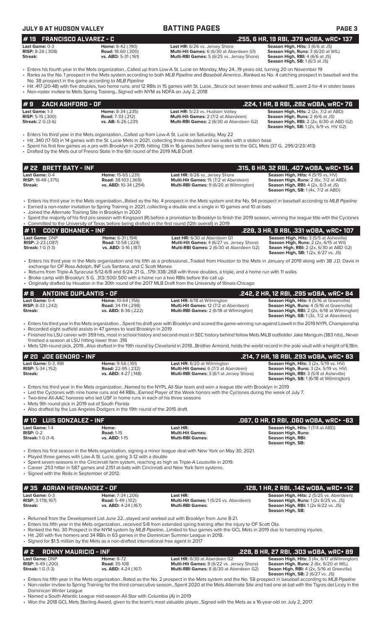| JULY 6 AT HUDSON VALLE' |
|-------------------------|
|-------------------------|

| <b>JULY 6 AT HUDSON VALLEY</b>                                           |                                                                                                                                              | <b>BATTING PAGES</b>                                                                                                                                                                                                                                                                                                                                                          | PAGE <sub>3</sub>                                                                                                                                                                  |
|--------------------------------------------------------------------------|----------------------------------------------------------------------------------------------------------------------------------------------|-------------------------------------------------------------------------------------------------------------------------------------------------------------------------------------------------------------------------------------------------------------------------------------------------------------------------------------------------------------------------------|------------------------------------------------------------------------------------------------------------------------------------------------------------------------------------|
| <b>FRANCISCO ALVAREZ - C</b><br>#19                                      |                                                                                                                                              |                                                                                                                                                                                                                                                                                                                                                                               | .255, 6 HR, 19 RBI, .379 wOBA, wRC+ 137                                                                                                                                            |
| Last Game: 0-3<br><b>RISP:</b> 8-26 (.308)<br><b>Streak:</b>             | Home: 8-42 (.190)<br><b>Road: 18-60 (.300)</b><br>vs. ABD: 5-31 (.161)                                                                       | Last HR: 6/26 vs. Jersey Shore<br>Multi-Hit Games: 6 (6/30 at Aberdeen G1)<br>Multi-RBI Games: 5 (6/25 vs. Jersey Shore)                                                                                                                                                                                                                                                      | Season High, Hits: 3 (6/6 at JS)<br>Season High, Runs: 3 (6/20 at WIL)<br>Season High, RBI: 4 (6/6 at JS)<br>Season High, SB: 1 (6/3 at JS)                                        |
|                                                                          |                                                                                                                                              | • Enters his fourth year in the Mets organizationCalled up from Low-A St. Lucie on Monday, May 2419 years old, turning 20 on November 19<br>• Ranks as the No. 1 prospect in the Mets system according to both MLB Pipeline and Baseball AmericaRanked as No. 4 catching prospect in baseball and the                                                                         |                                                                                                                                                                                    |
|                                                                          | No. 38 prospect in the game according to MLB Pipeline<br>• Non-roster invitee to Mets Spring TrainingSigned with NYM as NDFA on July 2, 2018 | • Hit .417 (20-48) with five doubles, two home runs, and 12 RBIs in 15 games with St. LucieStruck out seven times and walked 15went 2-for-4 in stolen bases                                                                                                                                                                                                                   |                                                                                                                                                                                    |
| ZACH ASHFORD - OF<br>#9                                                  |                                                                                                                                              |                                                                                                                                                                                                                                                                                                                                                                               | .224, 1 HR, 8 RBI, .282 WOBA, WRC+ 76                                                                                                                                              |
| Last Game: 1-3<br><b>RISP:</b> 5-15 $(.300)$<br><b>Streak:</b> 2 G (3-6) | Home: 8-34 (.235)<br><b>Road:</b> 7-33 (.212)<br>vs. AB: 6-26 (.231)                                                                         | Last HR: 5/23 vs. Hudson Valley<br>Multi-Hit Games: 2 (7/2 at Aberdeen)<br>Multi-RBI Games: 2 (6/30 at Aberdeen G2)                                                                                                                                                                                                                                                           | Season High, Hits: 2 (2x, 7/2 at ABD)<br>Season High, Runs: 2 (6/6 at JS)<br><b>Season High, RBI:</b> 2 (2x, 6/30 at ABD G2)<br><b>Season High, SB:</b> 1 (2x, 6/9 vs. HV G2)      |
|                                                                          | • Drafted by the Mets out of Fresno State in the 6th round of the 2019 MLB Draft                                                             | Enters his third year in the Mets organizationCalled up from Low-A St. Lucie on Saturday, May 22<br>• Hit .340 (17-50) in 14 games with the St. Lucie Mets in 2021, collecting three doubles and six walks with a stolen base<br>• Spent his first few games as a pro with Brooklyn in 2019, hitting 136 in 16 games before being sent to the GCL Mets (37 G, .295/2/23/.413) |                                                                                                                                                                                    |
| <b>BRETT BATY - INF</b><br># 22                                          |                                                                                                                                              |                                                                                                                                                                                                                                                                                                                                                                               | .315, 6 HR, 32 RBI, .407 wOBA, wRC+ 154                                                                                                                                            |
| Last Game: 0-4<br><b>RISP:</b> 18-48 (.375)                              | Home: 15-65 (.231)<br><b>Road:</b> 38-103 (.369)                                                                                             | Last HR: 6/26 vs. Jersey Shore<br>Multi-Hit Games: 15 (7/2 at Aberdeen)                                                                                                                                                                                                                                                                                                       | Season High, Hits: 4 (5/19 vs. HV)<br><b>Season High, Runs:</b> 2 (6x, 7/2 at ABD)                                                                                                 |
| Streak:                                                                  | vs. ABD: 10-34 (.294)                                                                                                                        | Multi-RBI Games: 9 (6/20 at Wilmington)                                                                                                                                                                                                                                                                                                                                       | <b>Season High, RBI:</b> 4 (2x, 6/3 at JS)<br><b>Season High, SB: 1 (4x, 7/2 at ABD)</b>                                                                                           |
|                                                                          | Joined the Alternate Training Site in Brooklyn in 2020                                                                                       | • Enters his third year in the Mets organizationRated as the No. 4 prospect in the Mets system and the No. 94 prospect in baseball according to MLB Pipeline<br>• Earned a non-roster invitation to Spring Training in 2021, collecting a double and a single in 10 games and 10 at-bats                                                                                      |                                                                                                                                                                                    |
|                                                                          |                                                                                                                                              | • Spent the majority of his first pro season with Kingsport (R) before a promotion to Brooklyn to finish the 2019 season, winning the league title with the Cyclones<br>• Committed to the University of Texas before being drafted in the first round (12th overall) in 2019                                                                                                 |                                                                                                                                                                                    |
| <b>CODY BOHANEK - INF</b><br>#11                                         |                                                                                                                                              |                                                                                                                                                                                                                                                                                                                                                                               | .228, 3 HR, 9 RBI, .331 wOBA, wRC+ 107                                                                                                                                             |
| Last Game: DNP<br><b>RISP: 2-23 (.087)</b><br><b>Streak:</b> 1 G (1-3)   | Home: 6-31 (.194)<br><b>Road: 13-58 (.224)</b><br>vs. ABD: 3-16 (.187)                                                                       | Last HR: 6/30 at Aberdeen G1<br>Multi-Hit Games: 4 (6/27 vs. Jersey Shore)<br>Multi-RBI Games: 2 (6/30 at Aberdeen G2)                                                                                                                                                                                                                                                        | Season High, Hits: 3 (5/5 at Asheville)<br>Season High, Runs: 2 (2x, 6/15 at Wil)<br><b>Seaon High, RBI:</b> 2 (2x, 6/30 at ABD G2)<br><b>Season High, SB:</b> 1 (2x, 6/27 vs. JS) |
|                                                                          | exchange for OF Ross Adolph, INF Luis Santana, and C Scott Manea                                                                             | • Enters his third year in the Mets organization and his fifth as a professionalTraded from Houston to the Mets in January of 2019 along with 3B J.D. Davis in                                                                                                                                                                                                                |                                                                                                                                                                                    |
|                                                                          | • Broke camp with Brooklyn: 5 G, .313/.500/.500 with a home run a two RBIs before the call up                                                | • Returns from Triple-A Syracuse 5/12-6/8 and 6/24: 21 G, 179/.338/.268 with three doubles, a triple, and a home run with 11 walks<br>• Originally drafted by Houston in the 30th round of the 2017 MLB Draft from the University of Illinois-Chicago                                                                                                                         |                                                                                                                                                                                    |
| <b>ANTOINE DUPLANTIS - OF</b><br>#8                                      |                                                                                                                                              |                                                                                                                                                                                                                                                                                                                                                                               | .242, 2 HR, 12 RBI, .295 wOBA, wRC+ 84                                                                                                                                             |
| Last Game: 0-4<br><b>RISP:</b> 8-33 (.242)<br>Streak:                    | Home: 10-64 (.156)<br>Road: 34-114 (.298)<br>vs. ABD: 8-36 (.222)                                                                            | Last HR: 6/18 at Wilmington<br>Multi-Hit Games: 12 (7/2 at Aberdeen)<br>Multi-RBI Games: 2 (6/18 at Wilmington)                                                                                                                                                                                                                                                               | Season High, Hits: 4 (5/16 at Greenville)<br>Season High, Runs: 4 (5/16 at Greenville)<br>Season High, RBI: 2 (2x, 6/18 at Wilmington)<br>Season High, SB: 1 (3x, 7/2 at Aberdeen) |
| finished a season at LSU hitting lower than .316                         | • Recorded eight outfield assists in 47 games to lead Brooklyn in 2019                                                                       | • Enters his third year in the Mets organization Spent his draft year with Brooklyn and scored the game-winning run against Lowell in the 2019 NYPL Championship<br>• Finished his LSU career with 359 hits, most in school history and second-most in SEC history behind fellow Mets MiLB outfielder Jake Mangum (383 hits)Never                                             |                                                                                                                                                                                    |
|                                                                          |                                                                                                                                              | • Mets 12th round pick, 2019Also drafted in the 19th round by Cleveland in 2018Brother Armond, holds the world record in the pole vault with a height of 6.18m.                                                                                                                                                                                                               |                                                                                                                                                                                    |
| $#$ 20 JOE GENORD - INF<br>Last Game: 0-3, RBI                           | Home: 9-56 (.161)                                                                                                                            | Last HR: 6/20 at Wilmington                                                                                                                                                                                                                                                                                                                                                   | .214, 7 HR, 18 RBI, .293 wDBA, wRC+ 83<br>Season High, Hits: 3 (2x, 5/19 vs. HV)                                                                                                   |
| <b>RISP: 5-34 (.152)</b><br>Streak:                                      | Road: 22-95 (.232)<br>vs. ABD: 4-27 (.148)                                                                                                   | Multi-Hit Games: 6 (7/3 at Aberdeen)<br>Multi-RBI Games: 3 (6/1 at Jersey Shore)                                                                                                                                                                                                                                                                                              | Season High, Runs: 3 (2x, 5/19 vs. HV)<br>Season High, RBI: 3 (5/8 at Asheville)<br>Season High, SB: 1 (6/18 at Wilmington)                                                        |
| • Mets 9th round pick in 2019 out of South Florida                       | • Two-time All-AAC honoree who led USF in home runs in each of his three seasons                                                             | • Enters his third year in the Mets organizationNamed to the NYPL All-Star team and won a league title with Brooklyn in 2019<br>• Led the Cyclones with nine home runs and 44 RBIsEarned Player of the Week honors with the Cyclones during the week of July 7.                                                                                                               |                                                                                                                                                                                    |
|                                                                          | • Also drafted by the Los Angeles Dodgers in the 19th round of the 2015 draft.                                                               |                                                                                                                                                                                                                                                                                                                                                                               |                                                                                                                                                                                    |
| <b>LUIS GONZALEZ - INF</b><br>#10<br>Last Game: 1-4                      | Home:                                                                                                                                        | Last HR:                                                                                                                                                                                                                                                                                                                                                                      | .067, 0 HR, 0 RBI, .060 w0BA, wRC+ -63<br>Season High, Hits: 1 (7/4 at ABD)                                                                                                        |
| $RISP: 0-2$<br><b>Streak:</b> 1 G (1-4)                                  | <b>Road: 1-15</b><br>vs. ABD: 1-15                                                                                                           | <b>Multi-Hit Games:</b><br><b>Multi-RBI Games:</b>                                                                                                                                                                                                                                                                                                                            | <b>Season High, Runs:</b><br>Season High, RBI:<br>Season High, SB:                                                                                                                 |
|                                                                          | Played three games with Low-A St. Lucie, going 3-12 with a double                                                                            | • Enters his first season in the Mets organization, signing a minor league deal with New York on May 30, 2021.<br>• Spent seven seasons in the Cincinnati farm system, reaching as high as Triple-A Louisville in 2019.                                                                                                                                                       |                                                                                                                                                                                    |
| • Signed with the Reds in September of 2012.                             | Career .253 hitter in 587 games and 2,151 at-bats with Cincinnati and New York farm systems.                                                 |                                                                                                                                                                                                                                                                                                                                                                               |                                                                                                                                                                                    |
| <b>ADRIAN HERNANDEZ - OF</b><br>#35                                      |                                                                                                                                              |                                                                                                                                                                                                                                                                                                                                                                               | .128, 1 HR, 2 RBI, .142 wOBA, wRC+ -12                                                                                                                                             |
| Last Game: 0-3<br><b>RISP: 3-178(.167)</b><br>Streak:                    | Home: 7-34 (.206)<br><b>Road: 5-49 (.102)</b><br>vs. ABD: 4-24 (.167)                                                                        | Last HR:<br>Multi-Hit Games: 1 (5/25 vs. Aberdeen)<br><b>Multi-RBI Games:</b>                                                                                                                                                                                                                                                                                                 | Season High, Hits: 2 (5/25 vs. Aberdeen)<br><b>Season High, Runs: 1 (2x 6/25 vs. JS)</b><br><b>Season High, RBI:</b> 1 (2x 6/22 vs. JS)<br>Season High, SB:                        |
|                                                                          |                                                                                                                                              | • Returned from the Development List June 22stayed and worked out with Brooklyn from June 8-21.                                                                                                                                                                                                                                                                               |                                                                                                                                                                                    |
|                                                                          | • Hit .261 with five homers and 34 RBIs in 63 games in the Dominican Summer League in 2018.                                                  | Enters his fifth year in the Mets organizationreceived 5/8 from extended spring training after the injury to OF Scott Ota.<br>• Ranked the No. 30 Prospect in the NYM system by MLB PipelineLimited to four games with the GCL Mets in 2019 due to hamstring injuries.                                                                                                        |                                                                                                                                                                                    |
| #2<br><b>RONNY MAURICIO - INF</b>                                        | • Signed for \$1.5 million by the Mets as a non-drafted international free agent in 2017                                                     |                                                                                                                                                                                                                                                                                                                                                                               | .228, 8 HR, 27 RBI, .303 w0BA, wRC+ 89                                                                                                                                             |

• Enters his fifth year in the Mets organization...Rated as the No. 2 prospect in the Mets system and the No. 58 prospect in baseball according to *MLB Pipeline* • Non-roster invitee to Spring Training for the third consecutive season...Spent 2020 at the Mets Alternate Site and had one at-bat with the Tigres del Licey in the Dominican Winter League

• Named a South Atlantic League mid-season All-Star with Columbia (A) in 2019

• Won the 2018 GCL Mets Sterling Award, given to the team's most valuable player...Signed with the Mets as a 16-year-old on July 2, 2017.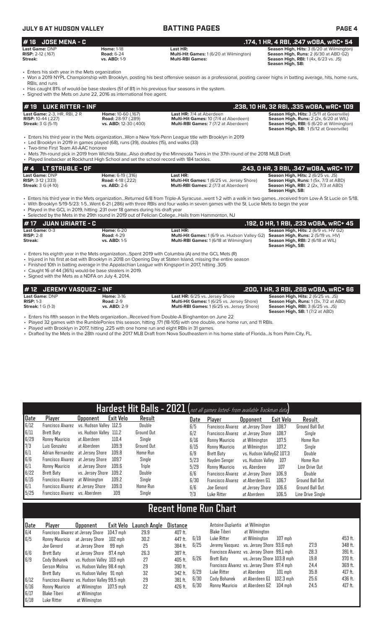### **JULY 6 AT HUDSON VALLEY BATTING PAGES PAGE 4 # 16 JOSE MENA - C .174, 1 HR, 4 RBI, .247 wOBA, wRC+ 54 Last Game:** DNP **Home:** 1-18 **Last HR: Season High, Hits:** 3 (6/20 at Wilmington) **RISP:** 2-12 (.167) **Road:** 6-24 **Multi-Hit Games:** 1 (6/20 at Wilmington) **Season High, Runs:** 2 (6/30 at ABD G2) **Streak:** vs. ABD: 1-9 **Multi-RBI Games:** We are the community of the season High, RBI: 1 (4x, 6/23 vs. JS) **Season High, SB:**

• Enters his sixth year in the Mets organization<br>• Won a 2019 NYPL Championship with Brookl

• Won a 2019 NYPL Championship with Brooklyn, posting his best offensive season as a professional, posting career highs in batting average, hits, home runs, RBIs, and runs • Has caught 81% of would-be base stealers (51 of 81) in his previous four seasons in the system.

| • Signed with the Mets on June 22, 2016 as international free agent.                                                                                                                                                                                                                                                                                                                                                                                                              |                                                                      | Has caught 81% of would-be base stealers (51 of 81) in his previous four seasons in the system.                                                                                                                                       |                                                                                                                                               |  |  |  |  |  |
|-----------------------------------------------------------------------------------------------------------------------------------------------------------------------------------------------------------------------------------------------------------------------------------------------------------------------------------------------------------------------------------------------------------------------------------------------------------------------------------|----------------------------------------------------------------------|---------------------------------------------------------------------------------------------------------------------------------------------------------------------------------------------------------------------------------------|-----------------------------------------------------------------------------------------------------------------------------------------------|--|--|--|--|--|
| $#$ 19 LUKE RITTER - INF                                                                                                                                                                                                                                                                                                                                                                                                                                                          |                                                                      | .238, 10 HR, 32 RBI, .335 w0BA, wRC+ 109                                                                                                                                                                                              |                                                                                                                                               |  |  |  |  |  |
| Season High, Hits: 3 (5/11 at Greenville)<br><b>Last Game: 2-3, HR, RBI, 2 R</b><br>Home: 10-60 (.167)<br><b>Last HR: 7/4 at Aberdeen</b><br><b>Road: 28-97 (.289)</b><br>Multi-Hit Games: 10 (7/4 at Aberdeen)<br>Season High, Runs: 2 (2x, 6/20 at WIL)<br><b>RISP:</b> 10-44 (.227)<br>vs. ABD: 12-30 (.400)<br><b>Season High, RBI:</b> 6 (6/20 at Wilmington)<br><b>Streak: 3 G (5-11)</b><br>Multi-RBI Games: 7 (7/2 at Aberdeen)<br>Season High, SB: 1(5/12 at Greenville) |                                                                      |                                                                                                                                                                                                                                       |                                                                                                                                               |  |  |  |  |  |
| • Led Brooklyn in 2019 in games played (68), runs (39), doubles (15), and walks (33)<br>• Two-time First Team All-AAC honoree<br>• Played linebacker at Rockhurst High School and set the school record with 184 tackles.                                                                                                                                                                                                                                                         |                                                                      | • Enters his third year in the Mets organizationWon a New York-Penn League title with Brooklyn in 2019<br>• Mets 7th-round pick in 2019 from Wichita StateAlso drafted by the Minnesota Twins in the 37th round of the 2018 MLB Draft |                                                                                                                                               |  |  |  |  |  |
| LT STRUBLE - OF<br>#4                                                                                                                                                                                                                                                                                                                                                                                                                                                             |                                                                      |                                                                                                                                                                                                                                       | .243, 0 HR, 3 RBI, .347 w0BA, wRC+ 117                                                                                                        |  |  |  |  |  |
| <b>Last Game: DNP</b><br><b>RISP:</b> 3-12 (.333)<br><b>Streak:</b> 3 G (4-10)                                                                                                                                                                                                                                                                                                                                                                                                    | Home: 6-19 (.316)<br><b>Road: 4-18 (.222)</b><br><b>vs. ABD: 2-6</b> | Last HR:<br><b>Multi-Hit Games: 1 (6/25 vs. Jersey Shore)</b><br><b>Multi-RBI Games: 2 (7/3 at Aberdeen)</b>                                                                                                                          | Season High, Hits: 2 (6/25 vs. JS)<br>Season High, Runs: 1(5x, 7/3 at ABD)<br><b>Season High, RBI:</b> 2 (2x, 7/3 at ABD)<br>Season High, SB: |  |  |  |  |  |

• Enters his third year in the Mets organization...Returned 6/8 from Triple-A Syracuse...went 1-2 with a walk in two games...received from Low-A St Lucie on 5/18. • With Brooklyn 5/19-5/23: 1-5...Went 6-21 (.286) with three RBIs and four walks in seven games with the St. Lucie Mets to begin the year

• Played in the GCL in 2019, hitting .231 over 18 games during his draft year • Selected by the Mets in the 29th round in 2019 out of Felician College...Hails from Hammonton, NJ

| <i>H</i> 17 JUAN URIARTE - C  |                                        |                                                                                                            | ' .192, O HR, 1 RBI, .233 wOBA, wRC+ 45 ,                                                |
|-------------------------------|----------------------------------------|------------------------------------------------------------------------------------------------------------|------------------------------------------------------------------------------------------|
| Last Game: 0-3<br>$RISP: 2-8$ | <b>Home: 6-20</b><br><b>Road: 4-29</b> | Last HR:<br><b>Multi-Hit Games:</b> 1 (6/9 vs. Hudson Valley G2)                                           | <b>Season High, Hits: 2 (6/9 vs. HV G2)</b><br><b>Season High, Runs: 2 (5/19 vs. HV)</b> |
| Streak:                       | <b>vs. ABD: 1-5</b>                    | <b>Multi-RBI Games: 1 (6/18 at Wilmington)</b>                                                             | Season High, RBI: 2 (6/18 at WIL)<br>Season High, SB:                                    |
|                               |                                        | $\Gamma$ ntore bio ojehth voor in the Mete organization. Cnont 2010 with Columbia (A) and the CCL Mete (D) |                                                                                          |

• Enters his eighth year in the Mets organization...Spent 2019 with Columbia (A) and the GCL Mets (R)

- Injured in his first at-bat with Brooklyn in 2018 on Opening Day at Staten Island, missing the entire season • Finished 10th in batting average in the Appalachian League with Kingsport in 2017, hitting .305
- 

• Caught 16 of 44 (36%) would-be base stealers in 2019. • Signed with the Mets as a NDFA on July 4, 2014.

| #12 JEREMY VASOUEZ - INF |                     |                                                                                               | .200, 1 HR, 3 RBI, .266 wOBA, wRC+ 66 .           |
|--------------------------|---------------------|-----------------------------------------------------------------------------------------------|---------------------------------------------------|
| Last Game: DNP           | <b>Home: 3-16</b>   | <b>Last HR:</b> 6/25 vs. Jersey Shore                                                         | <b>Season High, Hits: 2 (6/25 vs. JS)</b>         |
| $RISP: 1-3$              | <b>Road: 2-9</b>    | <b>Multi-Hit Games: 1(6/25 vs. Jersey Shore)</b>                                              | <b>Season High, Runs:</b> 1 (3x, 7/2 at ABD)      |
| <b>Streak:</b> 1 G (1-3) | <b>vs. ABD: 2-9</b> | <b>Multi-RBI Games: 1(6/25 vs. Jersey Shore)</b>                                              | <b>Season High, RBI:</b> $3(6/25 \text{ vs. JS})$ |
|                          |                     |                                                                                               | <b>Season High, SB: 1 (7/2 at ABD)</b>            |
|                          |                     | Enters bis fifth ceases in the Mete examination. Desaived from Dauble A Dinghamton on June 22 |                                                   |

• Enters his fifth season in the Mets organization...Received from Double-A Binghamton on June 22

• Played 32 games with the RumblePonies this season, hitting .171 (18-105) with one double, one home run, and 11 RBIs.

• Played with Brooklyn in 2017, hitting .225 with one home run and eight RBIs in 31 games.

• Drafted by the Mets in the 28th round of the 2017 MLB Draft from Nova Southeastern in his home state of Florida...Is from Palm City, FL.

|      |                                   |                         |                  |               |      | Hardest Hit Balls - 2021 (not all games listed- from available Trackman data) |                           |           |                        |
|------|-----------------------------------|-------------------------|------------------|---------------|------|-------------------------------------------------------------------------------|---------------------------|-----------|------------------------|
| Date | Player                            | <b>Upponent</b>         | <b>Exit Velo</b> | Result        | Date | Plaver                                                                        | <b>Opponent</b>           | Exit Velo | Result                 |
| 6/12 | <b>Francisco Alvarez</b>          | vs. Hudson Valley 112.5 |                  | Double        | 6/5  | <b>Francisco Alvarez</b>                                                      | at Jersey Shore           | 108.7     | <b>Ground Ball Out</b> |
| 6/11 | Brett Baty                        | vs. Hudson Valley 111.2 |                  | Ground Out    | 6/2  | <b>Francisco Alvarez</b>                                                      | at Jersey Shore           | 108.7     | Single                 |
| 6/29 | Ronny Mauricio                    | at Aberdeen             | 110.4            | Single        | 6/16 | Ronny Mauricio                                                                | at Wilmington             | 107.5     | Home Run               |
| 7/3  | Luis Gonzalez                     | at Aberdeen             | 109.9            | Ground Out    | 6/15 | Ronny Mauricio                                                                | at Wilmington             | 107.2     | Single                 |
| 6/1  | Adrian Hernandez                  | at Jersev Shore         | 109.8            | Home Run      | 6/9  | Brett Baty                                                                    | vs. Hudson VallevG2 107.3 |           | Double                 |
| 6/6  | <b>Francisco Alvarez</b>          | at Jersev Shore         | 109.7            | Single        | 5/23 | Havden Senger                                                                 | vs. Hudson Vallev         | 107       | Home Run               |
| 6/1  | Ronny Mauricio                    | at Jersey Shore         | 109.6            | Triple        | 5/29 | Ronny Mauricio                                                                | vs. Aberdeen              | 107       | Line Drive Out         |
| 6/22 | Brett Baty                        | vs. Jersev Shore        | 109.2            | <b>Double</b> | 6/6  | <b>Francisco Alvarez</b>                                                      | at Jersey Shore           | 106.9     | Double                 |
| 6/15 | Francisco Alvarez                 | at Wilmington           | 109.2            | Single        | 6/30 | <b>Francisco Alvarez</b>                                                      | at Aberdeen G1            | 106.7     | <b>Ground Ball Out</b> |
| 6/1  | Francisco Alvarez at Jersey Shore |                         | 109.0            | Home Run      | 6/6  | Joe Genord                                                                    | at Jersey Shore           | 106.6     | Ground Ball Out        |
| 5/25 | Francisco Alvarez                 | vs. Aberdeen            | 109              | Single        | 7/3  | Luke Ritter                                                                   | at Aberdeen               | 106.5     | Line Drive Single      |

# **Recent Home Run Chart**

| <u> Date</u> | Plaver                                       | <b>Opponent</b>            | Exit Velo | Launch Angle | <b>Distance</b> |      | Antoine Duplantis at Wilmington             |                            |           |      |         |
|--------------|----------------------------------------------|----------------------------|-----------|--------------|-----------------|------|---------------------------------------------|----------------------------|-----------|------|---------|
| 6/4          | Francisco Alvarez at Jersey Shore            |                            | 104.7 mph | 29.9         | 407 ft.         |      | Blake Tiberi                                | at Wilmington              |           |      |         |
| 6/5          | Ronny Mauricio                               | at Jersey Shore            | 102 mph   | 30.2         | 447 ft.         | 6/19 | Luke Ritter                                 | at Wilmington              | $107$ mph |      | 453 ft. |
|              | Joe Genord                                   | at Jersev Shore            | 99 mph    | 25           | 384 ft.         | 6/25 | Jeremy Vasquez vs. Jersey Shore 93.6 mph    |                            |           | 27.9 | 348 ft. |
| 6/6          | Brett Baty                                   | at Jersey Shore 97.4 mph   |           | 26.3         | 387 ft.         |      | Francisco Alvarez vs. Jersey Shore 99.1 mph |                            |           | 28.3 | 391 ft. |
| 6/9          | Cody Bohanek                                 | vs. Hudson Valley 103 mph  |           | 27           | 405 ft.         | 6/26 | Brett Baty                                  | vs. Jersev Shore 103.8 mph |           | 19.8 | 370 ft. |
|              | Gerson Molina                                | vs. Hudson Valley 98.4 mph |           | 29           | 390 ft.         |      | Francisco Alvarez vs. Jersey Shore 97.4 mph |                            |           | 24.4 | 369 ft. |
|              | Brett Baty                                   | vs. Hudson Valley 91 mph   |           | 32           | 342 ft.         | 6/29 | Luke Ritter                                 | at Aberdeen                | $101$ mph | 35.8 | 417 ft. |
| 6/12         | Francisco Alvarez vs. Hudson Valley 99.5 mph |                            |           | 29           | 381 ft.         | 6/30 | Cody Bohanek                                | at Aberdeen G1             | 102.3 mph | 25.6 | 436 ft. |
| 6/16         | Ronny Mauricio                               | at Wilmington              | 107.5 mph | 22           | 426 ft.         | 6/30 | Ronny Mauricio                              | at Aberdeen G2             | $104$ mph | 24.5 | 417 ft. |
| 6/17         | Blake Tiberi                                 | at Wilmington              |           |              |                 |      |                                             |                            |           |      |         |
| 6/18         | Luke Ritter                                  | at Wilmington              |           |              |                 |      |                                             |                            |           |      |         |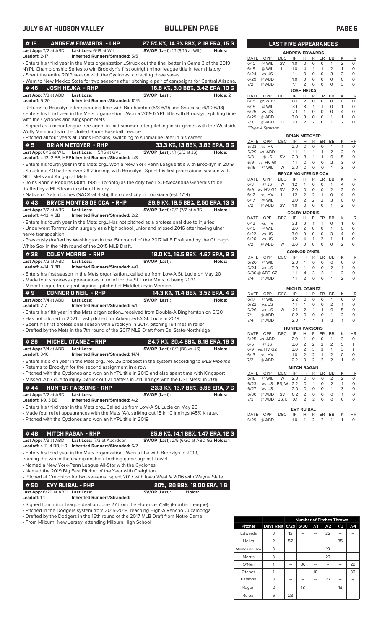| #18                                                | <b>ANDREW EDWARDS - LHP</b>                                                                                                                                                                          | 27.5% K%, 14.3% BB%, 2.18 ERA, 15 G         |                                  |              |                              | <b>LAST FIVE APPEARANCES</b> |                                  |                     |                             |                                |                               |                                  |                     |
|----------------------------------------------------|------------------------------------------------------------------------------------------------------------------------------------------------------------------------------------------------------|---------------------------------------------|----------------------------------|--------------|------------------------------|------------------------------|----------------------------------|---------------------|-----------------------------|--------------------------------|-------------------------------|----------------------------------|---------------------|
| Last App: 7/2 at ABD<br>Leadoff: 2-17              | Last Loss: 6/19 at WIL<br><b>Inherited Runners/Stranded: 5/5</b>                                                                                                                                     | <b>SV/OP (Last):</b> 1/1 (6/15 at WIL)      | Holds:                           |              |                              |                              | <b>ANDREW EDWARDS</b>            |                     |                             |                                |                               |                                  |                     |
|                                                    | · Enters his third year in the Mets organizationStruck out the final batter in Game 3 of the 2019                                                                                                    |                                             |                                  | DATE<br>6/15 | OPP<br>@ WIL                 | DEC<br><b>SV</b>             | IP<br>1.0                        | H<br>$\mathbf 0$    | R<br>0                      | ER<br>$\circ$                  | BB<br>$\mathbf{1}$            | Κ<br>2                           | H<br>0              |
|                                                    | NYPL Championship Series to win Brooklyn's first outright minor league title in team history                                                                                                         |                                             |                                  | 6/19         | @ WIL                        | L                            | 1.0                              | 4                   | $\mathbf{1}$                | $\mathbf{1}$                   | 2                             | $\mathbf{1}$                     | 0                   |
|                                                    | • Spent the entire 2019 season with the Cyclones, collecting three saves                                                                                                                             |                                             |                                  | 6/24         | vs. JS                       |                              | 1.1                              | 0                   | $\circ$                     | $\circ$                        | 3                             | $\overline{2}$                   | 0                   |
|                                                    | . Went to New Mexico State for two seasons after pitching a pair of campaigns for Central Arizona.                                                                                                   |                                             |                                  | 6/29<br>7/2  | @ ABD<br>@ ABD               |                              | 1.0<br>1.1                       | 0<br>2              | $\circ$<br>$\circ$          | $\circ$<br>$\circ$             | 0<br>$\mathbf 0$              | O<br>3                           | 0<br>O              |
| #46                                                | <b>JOSH HEJKA - RHP</b>                                                                                                                                                                              | 16.8 K%, 5.0 BB%, 3.42 ERA, 10 G            |                                  |              |                              |                              | <b>JOSH HEJKA</b>                |                     |                             |                                |                               |                                  |                     |
| Last App: 7/3 at ABD                               | <b>Last Loss:</b>                                                                                                                                                                                    | SV/OP (Last):                               | Holds: 2                         | DATE         | OPP                          | DEC                          | IP                               | н                   | R                           | ER                             | BB                            | Κ                                | н                   |
| <b>Leadoff: 5-20</b>                               | Inherited Runners/Stranded: 10/5                                                                                                                                                                     |                                             |                                  | 6/15<br>6/19 | $@SWB**$<br>@ WIL            |                              | 0.1<br>3.1                       | $\overline{2}$<br>3 | $\mathbf 0$<br>$\mathbf{1}$ | $\circ$<br>$\mathbf{1}$        | $\circ$<br>0                  | $\circ$<br>$\mathbf{1}$          | 0<br>0              |
|                                                    | · Returns to Brooklyn after spending time with Binghamton (6/3-6/9) and Syracuse (6/10-6/18).<br>Enters his third year in the Mets organizationWon a 2019 NYPL title with Brooklyn, splitting time • |                                             |                                  | 6/25         | vs. JS                       |                              | 2.1                              | 1                   | $\circ$                     | $\circ$                        | 0                             | $\overline{4}$                   | 0                   |
| with the Cyclones and Kingsport Mets               |                                                                                                                                                                                                      |                                             |                                  | 6/29         | @ ABD                        |                              | 3.0                              | 3                   | 0                           | $\circ$                        | 1                             | $\mathbf{1}$                     | 0                   |
|                                                    | Signed as a minor league free agent in mid-summer after pitching in six games with the Westside                                                                                                      |                                             |                                  | 7/3          | @ ABD<br>**Triple-A Syracuse | Н                            | 2.1                              | $\overline{2}$      | 2                           | $\circ$                        | $\mathbf{1}$                  | 2                                | 0                   |
|                                                    | Wolly Mammoths in the United Shore Baseball League                                                                                                                                                   |                                             |                                  |              |                              |                              | <b>BRIAN METOYER</b>             |                     |                             |                                |                               |                                  |                     |
|                                                    | · Pitched all four years at Johns Hopkins, switching to submarine later in his career.                                                                                                               |                                             |                                  | DATE         | OPP                          | <b>DEC</b>                   | IP                               | Н                   | R                           | ER                             | BB                            | Κ                                | H                   |
| #5                                                 | <b>BRIAN METOYER - RHP</b>                                                                                                                                                                           |                                             | 33.3 K%, 13 BB%, 3.86 ERA, 9 G   | 5/23         | vs. HV                       |                              | 2.0                              | $\circ$             | 0                           | $\mathbf 0$                    | 1                             | $\mathbf{1}$                     | C                   |
|                                                    | Last App: 6/15 at WIL Last Loss: 5/15 at GVL<br>Leadoff: 4-12, 2 BB, HBP Inherited Runners/Stranded: 4/3                                                                                             | <b>SV/OP (Last):</b> 1/1 (6/3 at JS)        | Holds:                           | 6/3          | 5/29 vs. ABD<br>@ JS         | SV                           | 1.1<br>2.0                       | 1<br>3              | 1<br>$\mathbf{1}$           | 1<br>$\mathbf{1}$              | 2<br>$\circ$                  | $\overline{2}$<br>5              | C<br>C              |
|                                                    | · Enters his fourth year in the Mets orgWon a New York Penn League title with Brooklyn in 2019                                                                                                       |                                             |                                  | 6/9          | vs. HV G1                    |                              | 1.1                              | O                   | $\circ$                     | $\mathbf 0$                    | 2                             | 3                                | C                   |
|                                                    | · Struck out 40 batters over 28.2 innings with BrooklynSpent his first professional season with                                                                                                      |                                             |                                  | 6/15         | @ WIL                        | W                            | 2.0                              | $\circ$             | $\circ$                     | $\circ$                        | $\mathbf{1}$                  | 3                                | C                   |
| <b>GCL Mets and Kingsport Mets</b>                 |                                                                                                                                                                                                      |                                             |                                  | DATE         | OPP                          | DEC                          | <b>BRYCE MONTES DE OCA</b><br>IP | Н.                  | R                           | ER                             | BB                            | Κ                                | н                   |
|                                                    | • Joins Ronnie Robbins (30th, 1981 - Toronto) as the only two LSU-Alexandria Generals to be                                                                                                          |                                             |                                  | 6/3          | @ JS                         | W                            | 1.2                              | $\mathbf{1}$        | $\mathbf 0$                 | 0                              | 1                             | $\overline{4}$                   | 0                   |
| drafted by a MLB team in school history            | • Native of Natchitoches (NACK-ah-tish), the oldest city in Louisiana (est. 1714).                                                                                                                   |                                             |                                  | 6/9          | vs. HV G2 SV                 |                              | 2.0                              | $\circ$             | $\mathbf 0$                 | $\circ$                        | $\overline{2}$<br>$\mathbf 0$ | $\overline{2}$<br>$\overline{4}$ | O                   |
|                                                    |                                                                                                                                                                                                      |                                             |                                  | 6/12<br>6/17 | vs. HV<br>@ WIL              | L                            | 1.2<br>2.0                       | 2<br>2              | $\overline{2}$<br>2         | $\mathbf{1}$<br>$\overline{2}$ | 3                             | O                                | 0                   |
| # 43                                               | <b>BRYCE MONTES DE OCA - RHP</b>                                                                                                                                                                     | 29.9 K%, 19.5 BB%, 2.50 ERA, 13 G           |                                  | 7/2          | @ ABD                        | <b>SV</b>                    | 1.0                              | 0                   | $\mathbf 0$                 | $\circ$                        | $\mathbf{1}$                  | $\overline{2}$                   | 0                   |
| Last App: 7/2 at ABD<br><b>Leadoff:</b> 4-13, 4 BB | <b>Last Loss:</b><br><b>Inherited Runners/Stranded: 2/2</b>                                                                                                                                          | <b>SV/OP (Last):</b> 2/2 (7/2 at ABD)       | Holds: 1                         |              |                              |                              | <b>COLBY MORRIS</b>              |                     |                             |                                |                               |                                  |                     |
|                                                    | • Enters his fourth year in the Mets orgHas not pitched as a professional due to injuries                                                                                                            |                                             |                                  | DATE<br>6/12 | OPP<br>vs. HV                | <b>DEC</b>                   | IP<br>2.1                        | н<br>3              | R<br>$\mathbf{1}$           | ER<br>$\mathbf{1}$             | BB<br>$\mathbf 0$             | Κ<br>$\mathbf{1}$                | HI<br>0             |
|                                                    | • Underwent Tommy John surgery as a high school junior and missed 2016 after having ulnar                                                                                                            |                                             |                                  | 6/16         | @ WIL                        |                              | 2.0                              | 2                   | $\mathbf 0$                 | $\circ$                        | $\mathbf{1}$                  | $\mathbf 0$                      | 0                   |
| nerve transposition                                |                                                                                                                                                                                                      |                                             |                                  | 6/22         | vs. JS                       |                              | 3.0                              | $\circ$             | 0                           | $\circ$                        | 3                             | 4                                | 0                   |
|                                                    | • Previously drafted by Washington in the 15th round of the 2017 MLB Draft and by the Chicago                                                                                                        |                                             |                                  | 6/26<br>7/2  | vs. JS<br>@ ABD              | W                            | 1.2<br>2.0                       | 4<br>$\circ$        | 1<br>0                      | $\overline{2}$<br>$\Omega$     | 1<br>$\mathbf 0$              | $\mathbf{1}$<br>$\overline{2}$   | 0<br>O              |
|                                                    | White Sox in the 14th round of the 2015 MLB Draft.                                                                                                                                                   |                                             |                                  |              |                              |                              | <b>CONNOR O'NEIL</b>             |                     |                             |                                |                               |                                  |                     |
| #38                                                | <b>COLBY MORRIS - RHP</b>                                                                                                                                                                            | 19.0 K%, 16.5 BB%, 4.67 ERA, 9 G            |                                  | DATE         | OPP                          | <b>DEC</b>                   | IP                               | н                   | R                           | ER                             | <b>BB</b>                     | Κ                                | H                   |
| Last App: 7/2 at ABD<br><b>Leadoff: 4-14, 3 BB</b> | <b>Last Loss:</b><br><b>Inherited Runners/Stranded: 4/0</b>                                                                                                                                          | SV/OP (Last):                               | Holds:                           | 6/20         | @ WIL                        |                              | 2.0                              | $\mathbf{1}$        | $\circ$                     | $\circ$                        | $\circ$                       | $\circ$                          | C                   |
|                                                    | · Enters his first season in the Mets organizationcalled up from Low-A St. Lucie on May 20                                                                                                           |                                             |                                  | 6/24         | vs. JS<br>6/30 @ ABD G2      |                              | 3.0<br>1.1                       | $\mathbf{1}$<br>4   | $\mathbf 0$<br>3            | $\circ$<br>3                   | 2<br>$\mathbf{1}$             | $\mathbf{1}$<br>$\overline{2}$   | C<br>C              |
|                                                    | • Made four scoreless appearances in relief for the St. Lucie Mets to being 2021<br>• Minor League free agent signingpitched at Middlebury in Vermont                                                |                                             |                                  | 7/4          | @ ABD                        |                              | 1.1                              | $\overline{2}$      | $\mathbf 0$                 | $\mathbf 0$                    | $\mathbf{1}$                  | $\overline{2}$                   | C                   |
| #9                                                 | <b>CONNOR O'NEIL - RHP</b>                                                                                                                                                                           |                                             | 14.3 K%, 11.4 BB%, 3.52 ERA, 4 G | DATE         | OPP                          | <b>DEC</b>                   | <b>MICHEL OTANEZ</b><br>IP       | Н                   | R                           | ER                             | BB                            | К                                | H                   |
| Last App: 7/4 at ABD                               | <b>Last Loss:</b>                                                                                                                                                                                    | SV/OP (Last):                               | Holds:                           | 6/17         | @ WIL                        |                              | 2.2                              | $\circ$             | $\mathbf 0$                 | $\circ$                        | $\mathbf{1}$                  | 0                                | C                   |
| Leadoff: 2-7                                       | Inherited Runners/Stranded: 6/1                                                                                                                                                                      |                                             |                                  | 6/22<br>6/26 | vs. JS<br>vs. JS             | W                            | 1.1<br>2.1                       | $\mathbf{1}$<br>2   | 0<br>$\mathbf{1}$           | 0<br>$\mathbf{1}$              | 2<br>0                        | $\mathbf{1}$<br>5                | C<br>C              |
|                                                    | Enters his fifth year in the Mets organizationreceived from Double-A Binghamton on 6/20 •<br>• Has not pitched in 2021Last pitched for Advanced-A St. Lucie in 2019                                  |                                             |                                  | 7/1          | @ ABD                        |                              | 0.2                              | $\circ$             | $\circ$                     | $\circ$                        | 1                             | $\overline{2}$                   | C                   |
|                                                    | Spent his first professional season with Brooklyn in 2017, pitching 19 times in relief                                                                                                               |                                             |                                  | 7/4          | @ ABD                        |                              | 2.0                              | $\mathbf{1}$        | $\mathbf{1}$                | 1                              | 3                             | 1                                |                     |
|                                                    | • Drafted by the Mets in the 7th round of the 2017 MLB Draft from Cal State-Northridge                                                                                                               |                                             |                                  |              |                              |                              | <b>HUNTER PARSONS</b>            |                     |                             |                                |                               |                                  |                     |
|                                                    |                                                                                                                                                                                                      |                                             |                                  |              | DATE OPP<br>5/25 vs. ABD     | <b>DEC</b>                   | IP<br>2.0                        | H<br>1              | R<br>0                      | ER<br>0                        | BB<br>1                       | Κ<br>3                           | H <sub>l</sub><br>0 |
| #26                                                | <b>MICHEL OTANEZ - RHP</b>                                                                                                                                                                           | 24.7 K%, 20.4 BB%, 6.16 ERA, 16 G           |                                  | 6/5          | @ JS                         |                              | 3.0                              | $\overline{2}$      | $\overline{2}$              | $\overline{2}$                 | 2                             | 5                                | 1                   |
| Last App: 7/4 at ABD<br><b>Leadoff: 3-16</b>       | Last Loss:<br><b>Inherited Runners/Stranded: 14/4</b>                                                                                                                                                | <b>SV/OP (Last):</b> 0/2 (BS vs. JS)        | Holds: 1                         | 6/9<br>6/13  | vs. HV G2<br>vs. HV          |                              | 3.0<br>1.0                       | $\overline{2}$<br>2 | 3<br>2                      | 3<br>$\mathbf{1}$              | 1<br>2                        | 3<br>0                           | 1<br>O              |
|                                                    | • Enters his sixth year in the Mets orgNo. 26 prospect in the system according to <i>MLB Pipeline</i>                                                                                                |                                             |                                  | 7/2          | @ ABD                        |                              | 0.2                              | $\circ$             | 2                           | $\overline{2}$                 | 2                             | $\mathbf{1}$                     | O                   |
|                                                    | • Returns to Brooklyn for the second assignment in a row                                                                                                                                             |                                             |                                  |              |                              |                              | <b>MITCH RAGAN</b>               |                     |                             |                                |                               |                                  |                     |
|                                                    | • Pitched with the Cyclones and won an NYPL title in 2019 and also spent time with Kingsport                                                                                                         |                                             |                                  | DATE         | OPP                          | DEC                          | IP                               | Н                   | R                           | ER                             | BB                            | Κ                                | H                   |
|                                                    | • Missed 2017 due to injuryStruck out 21 batters in 21.1 innings with the DSL Mets1 in 2016.                                                                                                         |                                             |                                  | 6/18<br>6/23 | @ WIL<br>vs. JS BS, W 2.2    | W                            | 2.0                              | 0<br>0              | 0<br>1                      | 0<br>0                         | 2<br>2                        | 2<br>$\mathbf{1}$                | C<br>C              |
| #44                                                | <b>HUNTER PARSONS - RHP</b>                                                                                                                                                                          | 23.3 K%, 16.7 BB%, 5.68 ERA, 7 G            |                                  | 6/27         | vs. JS                       |                              | 2.0                              | O                   | 0                           | 0                              | 1                             | 3                                | C                   |
| Last App: 7/2 at ABD<br><b>Leadoff:</b> 1-9, 3 BB  | <b>Last Loss:</b><br><b>Inherited Runners/Stranded: 4/2</b>                                                                                                                                          | SV/OP (Last):                               | Holds:                           | 6/30<br>7/3  | @ ABD<br>@ ABD BS, L         | SV                           | 0.2<br>0.1                       | $\overline{2}$<br>2 | $\mathbf 0$<br>2            | 0<br>0                         | 0<br>0                        | $\mathbf{1}$<br>0                | C<br>C              |
|                                                    | • Enters his third year in the Mets orgCalled up from Low-A St. Lucie on May 20                                                                                                                      |                                             |                                  |              |                              |                              |                                  |                     |                             |                                |                               |                                  |                     |
|                                                    | • Made four relief appearances with the Mets (A-), striking out 18 in 10 innings (45% K rate).                                                                                                       |                                             |                                  | DATE         | OPP                          | DEC                          | <b>EVY RUIBAL</b><br>IP          | Н.                  | R                           | ER BB                          |                               | Κ                                | H                   |
|                                                    | • Pitched with the Cyclones and won an NYPL title in 2019                                                                                                                                            |                                             |                                  |              | 6/29 @ ABD                   |                              | 1.0                              | $\mathbf{1}$        | 2                           | 2                              | 1                             | $\mathbf{1}$                     | 0                   |
|                                                    |                                                                                                                                                                                                      |                                             |                                  |              |                              |                              |                                  |                     |                             |                                |                               |                                  |                     |
| #48                                                | <b>MITCH RAGAN - RHP</b>                                                                                                                                                                             | 25.6 K%, 14.1 BB%, 1.47 ERA, 12 G           |                                  |              |                              |                              |                                  |                     |                             |                                |                               |                                  |                     |
| Last App: 7/3 at ABD                               | Last Loss: 7/3 at Aberdeen<br>Leadoff: 4-11, 4 BB, HR    Inherited Runners/Stranded: 6/2                                                                                                             | SV/OP (Last): 2/5 (6/30 at ABD G2) Holds: 1 |                                  |              |                              |                              |                                  |                     |                             |                                |                               |                                  |                     |
|                                                    | • Enters his third year in the Mets organizationWon a title with Brooklyn in 2019,                                                                                                                   |                                             |                                  |              |                              |                              |                                  |                     |                             |                                |                               |                                  |                     |
|                                                    | earning the win in the championship-clinching game against Lowell                                                                                                                                    |                                             |                                  |              |                              |                              |                                  |                     |                             |                                |                               |                                  |                     |
|                                                    | • Named a New York-Penn League All-Star with the Cyclones                                                                                                                                            |                                             |                                  |              |                              |                              |                                  |                     |                             |                                |                               |                                  |                     |
|                                                    | • Named the 2019 Big East Pitcher of the Year with Creighton                                                                                                                                         |                                             |                                  |              |                              |                              |                                  |                     |                             |                                |                               |                                  |                     |
|                                                    | . Pitched at Creighton for two seasonsspent 2017 with lowa West & 2016 with Wayne State.                                                                                                             |                                             |                                  |              |                              |                              |                                  |                     |                             |                                |                               |                                  |                     |
| #50                                                | <b>EVY RUIBAL - RHP</b>                                                                                                                                                                              | 20%, 20 BB% 18.00 ERA, 1 G                  |                                  |              |                              |                              |                                  |                     |                             |                                |                               |                                  |                     |
| Last App: 6/29 at ABD Last Loss:                   |                                                                                                                                                                                                      | SV/OP (Last):<br>Holds:                     |                                  |              |                              |                              |                                  |                     |                             |                                |                               |                                  |                     |

**Leadoff:** 1-1 **Inherited Runners/Stranded:**

• Signed to a minor league deal on June 27 from the Florence Y'alls (Frontier League)

• Pitched in the Dodgers system from 2015-2018, reaching High-A Rancho Cucamonga

• Drafted by the Dodgers in the 16th round of the 2017 MLB Draft from Notre Dame

• From Milburn, New Jersey, attending Milburn High School

|                |                | <b>Number of Pitches Thrown</b> |      |     |     |     |     |  |  |
|----------------|----------------|---------------------------------|------|-----|-----|-----|-----|--|--|
| <b>Pitcher</b> | Days Rest 6/29 |                                 | 6/30 | 7/1 | 7/2 | 7/3 | 7/4 |  |  |
| Edwards        | 3              | 12                              |      |     | 22  |     |     |  |  |
| Hejka          | $\overline{2}$ | 52                              |      |     |     | 35  |     |  |  |
| Montes de Oca  | 3              | --                              | --   |     | 19  | --  |     |  |  |
| <b>Morris</b>  | 3              | --                              | --   |     | 27  |     |     |  |  |
| O'Neil         |                | --                              | 36   |     | --  |     | 29  |  |  |
| Otanez         |                | --                              |      | 18  | --  |     | 36  |  |  |
| Parsons        | 3              | --                              |      |     | 27  |     |     |  |  |
| Ragan          | $\overline{2}$ | --                              | 18   |     | --  | 13  |     |  |  |
| Ruibal         | 6              | 23                              |      |     |     |     |     |  |  |

|      | <b>LAST FIVE APPEARANCES</b> |            |                   |          |   |          |    |                |           |
|------|------------------------------|------------|-------------------|----------|---|----------|----|----------------|-----------|
|      | <b>ANDREW EDWARDS</b>        |            |                   |          |   |          |    |                |           |
| DATE | OPP                          | DEC        | IP                | н        | R | ER       | ВB | Κ              | HR        |
| 6/15 | @ WIL                        | <b>SV</b>  | 1.0               | $\Omega$ | 0 | O        | 1  | $\overline{2}$ | 0         |
| 6/19 | @ WIL                        | L          | 1.0               | 4        | 1 | 1        | 2  | 1              | 0         |
| 6/24 | vs. JS                       |            | 1.1               | $\Omega$ | 0 | O        | 3  | 2              | 0         |
| 6/29 | @ ABD                        |            | 1.0               | $\Omega$ | 0 | O        | O  | 0              | 0         |
| 7/2  | @ ABD                        |            | 1.1               | 2        | 0 | O        | O  | 3              | 0         |
|      |                              |            | <b>JOSH HEJKA</b> |          |   |          |    |                |           |
| DATE | OPP                          | <b>DEC</b> | IP                | н        | R | ER       | BB | Κ              | <b>HR</b> |
| 6/15 | @SWB**                       |            | 0.1               | 2        | 0 | O        | O  | 0              | 0         |
| 6/19 | @ WIL                        |            | 3.1               | 3        | 1 | 1        | 0  | 1              | 0         |
| 6/25 | vs. JS                       |            | 2.1               | 1        | 0 | O        | O  | 4              | 0         |
| 6/29 | @ ABD                        |            | 3.0               | 3        | 0 | $\Omega$ | 1  | 1              | $\Omega$  |
| 7/3  | @ ABD                        | н          | 2.1               | 2        | 2 | O        | 1  | $\overline{2}$ | $\Omega$  |
|      | **Triple-A Syracuse          |            |                   |          |   |          |    |                |           |

| DATE        | OPP       | DEC        | IP                         | н              | R        | ER             | BB             | Κ              | ΗR |
|-------------|-----------|------------|----------------------------|----------------|----------|----------------|----------------|----------------|----|
| 5/23        | vs. HV    |            | 2.0                        | O              | $\Omega$ | 0              | 1              | 1              | 0  |
| 5/29        | vs. ABD   |            | 1.1                        | 1              | 1        | 1              | $\overline{2}$ | 2              | 0  |
| 6/3         | @ JS      | SV         | 2.0                        | 3              | 1        | 1              | 0              | 5              | 0  |
| 6/9         | vs. HV G1 |            | 1.1                        | O              | $\Omega$ | 0              | 2              | 3              | 0  |
| 6/15        | @ WIL     | W          | 2.0                        | 0              | 0        | 0              | 1              | 3              | 0  |
|             |           |            | <b>BRYCE MONTES DE OCA</b> |                |          |                |                |                |    |
| <b>DATE</b> | OPP       | <b>DEC</b> | IP                         | н              | R        | ER             | BB             | Κ              | ΗR |
| 6/3         | @ JS      | W          | 1.2                        | 1              | 0        | O              | 1              | 4              | 0  |
| 6/9         | vs. HV G2 | <b>SV</b>  | 2.0                        | 0              | 0        | O              | 2              | 2              | 0  |
| 6/12        | vs. HV    | L          | 1.2                        | 2              | 2        | 1              | 0              | 4              | 0  |
| 6/17        | @ WIL     |            | 2.0                        | 2              | 2        | $\overline{2}$ | 3              | $\Omega$       | 0  |
| 7/2         | @ ABD     | SV         | 1.0                        | 0              | 0        | O              | 1              | $\overline{2}$ | 0  |
|             |           |            | <b>COLBY MORRIS</b>        |                |          |                |                |                |    |
| DATE        | OPP       | <b>DEC</b> | IP                         | н              | R        | ER             | BB             | Κ              | ΗR |
| 6/12        | vs. HV    |            | 2.1                        | 3              | 1        | 1              | O              | 1              | 0  |
| 6/16        | @ WIL     |            | 2.0                        | $\overline{2}$ | 0        | O              | 1              | 0              | 0  |
| 6/22        | vs. JS    |            | 3.0                        | $\Omega$       | 0        | O              | 3              | 4              | 0  |
| 6/26        | vs. JS    |            | 1.2                        | 4              | 1        | 2              | 1              | 1              | 0  |
| 7/2         | @ ABD     | W          | 2.0                        | 0              | 0        | O              | 0              | 2              | 0  |
|             |           |            |                            |                |          |                |                |                |    |

| <b>CONNOR O'NEIL</b> |               |      |     |               |    |              |               |  |    |
|----------------------|---------------|------|-----|---------------|----|--------------|---------------|--|----|
|                      | DATE OPP      | DFC. | IP  | н             | R  | ER           | <b>B</b> R    |  | HR |
| 6/20                 | @ WIL         |      | 2 O | 1             | O  | O            | O             |  |    |
|                      | $6/24$ vs. JS |      | 30  |               | O  | O            | $\mathcal{L}$ |  |    |
|                      | 6/30 @ ABD G2 |      | 11  | 4             | 3  | 3            | 1             |  |    |
| 7/4                  | @ ABD         |      | 11  | $\mathcal{P}$ | O. | <sup>n</sup> |               |  |    |
|                      |               |      |     |               |    |              |               |  |    |

|      |        |     | <b>MICHEL OTANEZ</b>  |               |   |    |    |                |          |
|------|--------|-----|-----------------------|---------------|---|----|----|----------------|----------|
| DATE | OPP    | DEC | IP                    |               | R | ER | BB | ĸ              | HR       |
| 6/17 | @ WIL  |     | 2.2                   | Ο             | Ω | Ο  | 1  | Ω              | $\Omega$ |
| 6/22 | vs. JS |     | 1.1                   | 1             | Ο | Ο  | 2  |                | O        |
| 6/26 | vs. JS | W   | 2.1                   | $\mathcal{P}$ | 1 | 1  | 0  | 5              | O        |
| 7/1  | @ ABD  |     | 0.2                   | O             | O | O  | 1  | $\overline{2}$ | O        |
| 7/4  | @ ABD  |     | 2.0                   | 1             | 1 | 1  | 3  |                | O        |
|      |        |     | <b>HUNTER PARSONS</b> |               |   |    |    |                |          |
| DATE | OPP    | DEC | IP                    |               | R | ER | BB |                | ΗR       |

|     | 5/25 vs. ABD       |             |  |  |         | 2.0 1 0 0 1 3 |                |  |  |
|-----|--------------------|-------------|--|--|---------|---------------|----------------|--|--|
| 6/5 | @ JS               | 3 O         |  |  | 2 2 2 2 |               | -5             |  |  |
|     | 6/9 vs. HV G2      | 3.0 2 3 3 1 |  |  |         |               | $\mathcal{R}$  |  |  |
|     | 6/13 vs. HV        | 10 2 2 1 2  |  |  |         |               | C              |  |  |
|     | $7/2$ @ ABD        | 020222      |  |  |         |               | $\overline{1}$ |  |  |
|     | <b>MITCH RAGAN</b> |             |  |  |         |               |                |  |  |

| DATE | <b>OPP</b>                | DEC IP H       |                   |          |          | R ER     |               | BB K          | <b>HR</b> |
|------|---------------------------|----------------|-------------------|----------|----------|----------|---------------|---------------|-----------|
| 6/18 | @ WIL                     | $W = 2.0 \t 0$ |                   |          | $\Omega$ | $\Omega$ | $\mathcal{P}$ | $\mathcal{P}$ | $\Omega$  |
|      | 6/23 vs. JS BS. W 2.2 0 1 |                |                   |          |          | $\Omega$ | 2             | 1             | $\Omega$  |
| 6/27 | vs. JS                    |                | 2.0               | $\Omega$ | $\Omega$ | 0        | 1             | 3             | $\Omega$  |
| 6/30 | @ ABD SV                  |                | $0.2 \quad 2$     |          | $\Omega$ | $\Omega$ | O             | 1             | $\Omega$  |
| 7/3  | @ ABD BS.L 0.1 2 2        |                |                   |          |          | $\Omega$ | O             | O             | $\Omega$  |
|      |                           |                |                   |          |          |          |               |               |           |
|      |                           |                | <b>EVY RUIBAL</b> |          |          |          |               |               |           |
| DATF | OPP                       | DEC.           | IP                | н        | R        | ER.      | <b>BB</b>     | K             | ΗR        |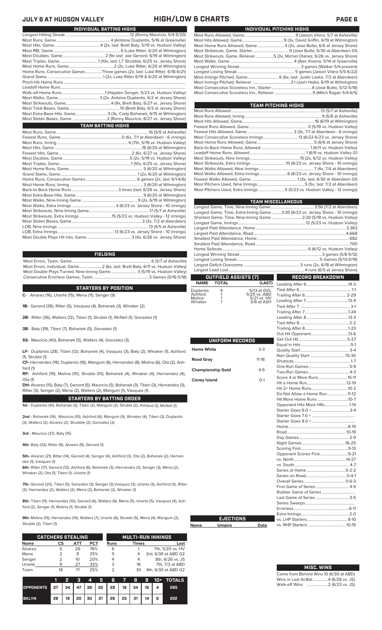| INDIVIDUAL PITCHING HIGHS                                                   |
|-----------------------------------------------------------------------------|
|                                                                             |
|                                                                             |
| Most Home Runs Allowed, Game4 (2x, Jose Butto, 6/6 at Jersey Shore)         |
|                                                                             |
| Most Strikeouts, Game, Reliever5 (3x, Michel Otanez, 6/26 vs. Jersey Shore) |
|                                                                             |
|                                                                             |
|                                                                             |
| Most Innings Pitched, Game 6 (6x, last: Justin Lasko, 7/3 at Aberdeen)      |
|                                                                             |
|                                                                             |
|                                                                             |
|                                                                             |

| TEAM PITCHING HIGHS                                                       |  |
|---------------------------------------------------------------------------|--|
|                                                                           |  |
|                                                                           |  |
|                                                                           |  |
|                                                                           |  |
|                                                                           |  |
| Most Consecutive Scoreless Innings 13 (6/22-6/23 vs. Jersey Shore)        |  |
|                                                                           |  |
|                                                                           |  |
|                                                                           |  |
|                                                                           |  |
|                                                                           |  |
|                                                                           |  |
| Most Walks Allowed, Extra Innings 6 (6/23 vs. Jersey Shore - 10 innings)  |  |
|                                                                           |  |
|                                                                           |  |
| Most Pitchers Used, Extra Innings 5 (5/23 vs. Hudson Valley - 12 innings) |  |
|                                                                           |  |

|                          |                      |                             | <b>TEAM MISCELLANEOUS</b>                                                      |  |  |  |  |  |
|--------------------------|----------------------|-----------------------------|--------------------------------------------------------------------------------|--|--|--|--|--|
|                          |                      |                             |                                                                                |  |  |  |  |  |
|                          |                      |                             | Longest Game, Time, Extra-Inning Game3:30 (6/23 vs. Jersey Shore - 10 innings) |  |  |  |  |  |
|                          |                      |                             | Shortest Game, Time, Nine-Inning Game  2:20 (5/18 vs. Hudson Valley)           |  |  |  |  |  |
|                          |                      |                             |                                                                                |  |  |  |  |  |
|                          |                      |                             |                                                                                |  |  |  |  |  |
|                          |                      |                             |                                                                                |  |  |  |  |  |
|                          |                      |                             |                                                                                |  |  |  |  |  |
|                          |                      |                             |                                                                                |  |  |  |  |  |
|                          |                      |                             |                                                                                |  |  |  |  |  |
|                          |                      |                             |                                                                                |  |  |  |  |  |
|                          |                      |                             |                                                                                |  |  |  |  |  |
|                          |                      |                             |                                                                                |  |  |  |  |  |
|                          | OUTFIELD ASSISTS (7) |                             | <b>RECORD BREAKDOWN</b>                                                        |  |  |  |  |  |
| <b>NAME</b>              | <b>TOTAL</b>         | (LAST)                      |                                                                                |  |  |  |  |  |
| Duplantis                | 4                    | 5/13 at GVL                 |                                                                                |  |  |  |  |  |
| Ashford<br>Molina        | 1<br>1               | 5/25 vs. ABD<br>5/21 vs. HV |                                                                                |  |  |  |  |  |
| Winaker                  | 1                    | 5/6 at ASH                  |                                                                                |  |  |  |  |  |
|                          |                      |                             |                                                                                |  |  |  |  |  |
|                          |                      |                             |                                                                                |  |  |  |  |  |
|                          |                      |                             |                                                                                |  |  |  |  |  |
|                          |                      |                             |                                                                                |  |  |  |  |  |
|                          |                      |                             |                                                                                |  |  |  |  |  |
|                          |                      |                             |                                                                                |  |  |  |  |  |
|                          | UNIFORM RECORDS      |                             |                                                                                |  |  |  |  |  |
|                          |                      | $3-3$                       |                                                                                |  |  |  |  |  |
| <b>Home White</b>        |                      |                             |                                                                                |  |  |  |  |  |
| <b>Road Gray</b>         |                      | $11 - 18$                   |                                                                                |  |  |  |  |  |
|                          |                      |                             |                                                                                |  |  |  |  |  |
| <b>Championship Gold</b> |                      | $4-9$                       |                                                                                |  |  |  |  |  |
|                          |                      |                             |                                                                                |  |  |  |  |  |
| <b>Coney Island</b>      |                      | $O-1$                       |                                                                                |  |  |  |  |  |
|                          |                      |                             |                                                                                |  |  |  |  |  |
|                          |                      |                             | Do Not Allow a Home Run 11-12                                                  |  |  |  |  |  |
|                          |                      |                             | Hit More Home Runs 10-7                                                        |  |  |  |  |  |
|                          |                      |                             | Opponent Hits More HRs1-14                                                     |  |  |  |  |  |
|                          |                      |                             |                                                                                |  |  |  |  |  |
|                          |                      |                             |                                                                                |  |  |  |  |  |
|                          |                      |                             |                                                                                |  |  |  |  |  |
|                          |                      |                             |                                                                                |  |  |  |  |  |
|                          |                      |                             |                                                                                |  |  |  |  |  |
|                          |                      |                             |                                                                                |  |  |  |  |  |
|                          |                      |                             |                                                                                |  |  |  |  |  |
|                          |                      |                             | Opponent Scores First9-21                                                      |  |  |  |  |  |
|                          |                      |                             |                                                                                |  |  |  |  |  |
|                          |                      |                             |                                                                                |  |  |  |  |  |
|                          |                      |                             |                                                                                |  |  |  |  |  |
|                          |                      |                             |                                                                                |  |  |  |  |  |
|                          |                      |                             |                                                                                |  |  |  |  |  |
|                          |                      |                             |                                                                                |  |  |  |  |  |
|                          |                      |                             |                                                                                |  |  |  |  |  |
|                          |                      |                             |                                                                                |  |  |  |  |  |
|                          |                      |                             |                                                                                |  |  |  |  |  |
|                          |                      |                             |                                                                                |  |  |  |  |  |
|                          |                      |                             |                                                                                |  |  |  |  |  |
|                          | <b>EJECTIONS</b>     |                             |                                                                                |  |  |  |  |  |
| <b>Name</b>              | <b>Umpire</b>        | Date                        |                                                                                |  |  |  |  |  |

|                                                                       | Most Pitchers Used, Extra Innings 5 (5/23 vs. Hudson Valley - 12 innings)      |                                                        |     |
|-----------------------------------------------------------------------|--------------------------------------------------------------------------------|--------------------------------------------------------|-----|
|                                                                       |                                                                                |                                                        |     |
|                                                                       |                                                                                | <b>TEAM MISCELLANEOUS</b>                              |     |
|                                                                       |                                                                                |                                                        |     |
|                                                                       | Longest Game, Time, Extra-Inning Game3:30 (6/23 vs. Jersey Shore - 10 innings) |                                                        |     |
|                                                                       | Shortest Game, Time, Nine-Inning Game  2:20 (5/18 vs. Hudson Valley)           |                                                        |     |
|                                                                       |                                                                                |                                                        |     |
|                                                                       |                                                                                |                                                        |     |
|                                                                       |                                                                                |                                                        |     |
|                                                                       |                                                                                |                                                        |     |
|                                                                       |                                                                                |                                                        |     |
|                                                                       |                                                                                |                                                        |     |
| <b>FIELDING</b>                                                       |                                                                                |                                                        |     |
|                                                                       |                                                                                |                                                        |     |
|                                                                       |                                                                                |                                                        |     |
|                                                                       |                                                                                |                                                        |     |
| Most Double Plays Turned, Nine-Inning Game 3 (5/19 vs. Hudson Valley) |                                                                                |                                                        |     |
|                                                                       | OUTFIELD ASSISTS [7]                                                           | <b>RECORD BREAKDOWN</b><br>Ш<br><b>Service Service</b> |     |
|                                                                       | NAME TOTAL                                                                     | $(LAST)$ Looding After C                               | 112 |

| UNIFORM RECORDS |
|-----------------|
| $3-3$           |
| $11 - 18$       |
| $4 - 9$         |
| $0-1$           |
|                 |
|                 |
|                 |
|                 |
|                 |
|                 |
|                 |
|                 |
|                 |
|                 |
|                 |

### **INDIVIDUAL BATTING HIGHS JULY 6 AT HUDSON VALLEY HIGH/LOW & CHARTS PAGE 6**

| <u>INDIVIDUAL UATIING MONG</u>                                              |
|-----------------------------------------------------------------------------|
|                                                                             |
|                                                                             |
|                                                                             |
|                                                                             |
|                                                                             |
|                                                                             |
| Home Runs, Consecutive Games Three games (2x, last: Luke Ritter, 6/18-6/21) |
|                                                                             |
|                                                                             |
|                                                                             |
|                                                                             |
|                                                                             |
|                                                                             |
|                                                                             |
| Most Extra-Base Hits, Game 3 (3x, Cody Bohanek, 6/15 at Wilmington)         |
|                                                                             |
|                                                                             |
|                                                                             |
| <b>TEAM BATTING HIGHS</b>                                                   |
|                                                                             |
|                                                                             |
|                                                                             |
|                                                                             |
|                                                                             |
|                                                                             |
|                                                                             |
|                                                                             |
|                                                                             |
|                                                                             |
|                                                                             |
|                                                                             |
|                                                                             |
|                                                                             |
|                                                                             |

### **FIELDING**

**STARTERS BY POSITION**

**C-** Alvarez (16), Uriarte (15), Mena (11), Senger (9)

**1B-** Genord (38), Ritter (5), Vasquez (4), Bohanek (3), Winaker (2)

**2B-** Ritter (36), Walters (12), Tiberi (1), Struble (1), McNeil (1), Gonzalez (1)

**3B-** Baty (39), Tiberi (7), Bohanek (5), Gonzalez (1)

**SS-** Mauricio (40), Bohanek (5), Walters (4), Gonzalez (3)

**LF-** Duplantis (28), Tiberi (12), Bohanek (4), Vasquez (3), Baty (2), Winaker (1), Ashford (1), Struble (1)

**CF-** Hernandez (19), Duplantis (16), Mangum (8), Hernandez (8), Molina (6), Ota (2), Ashford (1)

**RF-** Ashford (19), Molina (10), Struble (10), Bohanek (4), Winaker (4), Hernandez (4), Ota (1)

**DH-** Alvarez (15), Baty (7), Genord (5), Mauricio (5), Bohanek (3), Tiberi (3), Hernandez (3), Ritter (3), Senger (2), Mena (2), Walters (2), Mangum (1), Vasquez (1)

**STARTERS BY BATTING ORDER**

**1st -** Duplantis (41), Bohanek (3), Tiberi (2), Mangum (2), Struble (2), Ashford (1), McNeil (1)

**2nd -** Bohanek (14), Mauricio (10), Ashford (6), Mangum (5), Winaker (4), Tiberi (3), Duplantis (3), Walters (2), Alvarez (2), Strubble (2), Gonzalez (2)

**3rd -** Mauricio (37), Baty (15)

**4th-** Baty (33), Ritter (9), Alvarez (9), Genord (1)

**5th-** Alvarez (21), Ritter (14), Genord (4), Senger (4), Ashford (3), Ota (2), Bohanek (2), Hernandez (1), Vasquez (1)

**6th-** Ritter (17), Genord (12), Ashford (6), Bohanek (3), Hernandez (3), Senger (3), Mena (2), Winaker (2), Ota (1), Tiberi (1), Uriarte (1)

**7th-** Genord (20), Tiberi (5), Gonzalez (3), Senger (3),Vasquez (3), Uriarte (3), Ashford (3), Ritter (3), Hernandez (2), Walters (2), Mena (2), Bohanek (2), Winaker (1)

**8th-** Tiberi (11), Hernandez (10), Genord (6), Walters (6), Mena (5), Uriarte (5), Vasquez (4), Ashford (2), Senger (1), Molina (1), Struble (1)

**9th-** Molina (15), Hernandez (10), Walters (7), Uriarte (6), Struble (5), Mena (4), Mangum (2), Struble (2), Tiberi (1)

|             | <b>CATCHERS STEALING</b> |     |            |      | <b>MULTI-RUN INNINGS</b> |                     |  |  |  |
|-------------|--------------------------|-----|------------|------|--------------------------|---------------------|--|--|--|
| <b>Name</b> | СS                       | АТТ | <b>PCT</b> | Runs | <b>Times</b>             | Last                |  |  |  |
| Alvarez     | 5                        | 26  | 19%        | 6    |                          | 7th, 5/20 vs. HV    |  |  |  |
| Mena        |                          | 8   | 25%        | 5    | 4                        | 3rd, 6/30 at ABD G2 |  |  |  |
| Senger      | フ                        | 10  | 20%        | 4    | 4                        | 8th, 6/26 vs. JS    |  |  |  |
| Uriarte     | 9                        | 27  | 33%        | 3    | 18                       | 7th, 7/3 at ABD     |  |  |  |
| Team        | 18                       | 71  | 25%        | っ    | 30                       | 4th, 6/30 at ABD G2 |  |  |  |

|                                        |    | Ы  |  |                                                           |  |   | 3 4 5 6 7 8 9 10 + TOTALS |
|----------------------------------------|----|----|--|-----------------------------------------------------------|--|---|---------------------------|
| OPPONENTS 27 34 47 39 22 29 19 34 16 4 |    |    |  |                                                           |  |   | 265                       |
| <b>BKLYN</b>                           | 28 | 19 |  | $20 \mid 30 \mid 21 \mid 26 \mid 25 \mid 31 \mid 14 \mid$ |  | 6 | 222                       |

| <b>MISC. WINS</b> |  |
|-------------------|--|
|                   |  |

Come from Behind Wins 10 (6/30 at ABD)<br>Wins in Last At-Bat................4 (6/26 vs. JS) Wins in Last At-Bat......... Walk-off Wins .....................2 (6/23 vs. JS)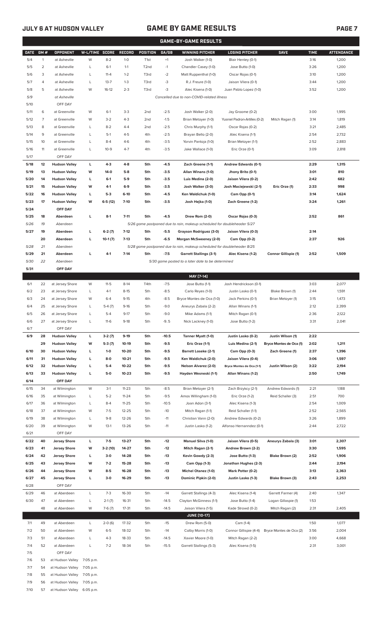## **JULY 6 AT HUDSON VALLEY GAME BY GAME RESULTS PAGE 7**

|              | <b>GAME-BY-GAME RESULTS</b> |                                            |                |                    |                    |                        |                  |                                                                         |                                                    |                             |              |                   |
|--------------|-----------------------------|--------------------------------------------|----------------|--------------------|--------------------|------------------------|------------------|-------------------------------------------------------------------------|----------------------------------------------------|-----------------------------|--------------|-------------------|
| <b>DATE</b>  | GM#                         | <b>OPPONENT</b>                            | W-L/TIME SCORE |                    | <b>RECORD</b>      | <b>POSITION</b>        | GA/GB            | <b>WINNING PITCHER</b>                                                  | <b>LOSING PITCHER</b>                              | <b>SAVE</b>                 | <b>TIME</b>  | <b>ATTENDANCE</b> |
| 5/4          | $\mathbf{1}$                | at Asheville                               | W              | $8 - 2$            | $1 - 0$            | T <sub>1st</sub>       | $+1$             | Josh Walker (1-0)                                                       | Blair Henley (0-1)                                 |                             | 3:16         | 1,200             |
| 5/5          | 2                           | at Asheville                               | L              | $6-1$              | $1 - 1$            | T <sub>2nd</sub>       | $-1$             | Chandler Casey (1-0)                                                    | Jose Butto (1-0)                                   |                             | 3:26         | 1,200             |
| 5/6          | 3                           | at Asheville                               | L              | $11 - 4$           | $1 - 2$            | T3rd                   | $-2$             | Matt Ruppenthal (1-0)                                                   | Oscar Rojas (0-1)                                  |                             | 3:10         | 1,200             |
| 5/7          | 4                           | at Asheville                               | L              | $13 - 7$           | $1 - 3$            | T3rd                   | -3               | R.J. Freure (1-0)                                                       | Jaison Vilera (0-1)                                |                             | 3:44         | 1,200             |
| 5/8          | 5                           | at Asheville                               | W              | $16-12$            | $2 - 3$            | T3rd                   | -3               | Alec Kisena (1-0)                                                       | Juan Pablo Lopez (1-0)                             |                             | 3:52         | 1,200             |
| 5/9          |                             | at Asheville                               |                |                    |                    |                        |                  | Cancelled due to non-COVID-related illness                              |                                                    |                             |              |                   |
| 5/10         |                             | OFF DAY                                    |                |                    |                    |                        |                  |                                                                         |                                                    |                             |              |                   |
| 5/11         | 6<br>$\overline{7}$         | at Greenville                              | W<br>W         | $6-1$<br>$3 - 2$   | $3-3$<br>$4 - 3$   | 2 <sub>nd</sub><br>2nd | $-2.5$<br>$-1.5$ | Josh Walker (2-0)                                                       | Jay Groome (0-2)                                   |                             | 3:00         | 1,995<br>1,819    |
| 5/12<br>5/13 | 8                           | at Greenville<br>at Greenville             | L              | $8 - 2$            | $4 - 4$            | 2 <sub>nd</sub>        | $-2.5$           | Brian Metoyer (1-0)<br>Chris Murphy (1-1)                               | Yusniel Padron-Artilles (0-2)<br>Oscar Rojas (0-2) | Mitch Ragan (1)             | 3:14<br>3:21 | 2,485             |
| 5/14         | 9                           | at Greenville                              | L              | $5-1$              | $4 - 5$            | 4th                    | $-2.5$           | Brayan Bello (2-0)                                                      | Alec Kisena (1-1)                                  |                             | 2:54         | 2,732             |
| 5/15         | 10                          | at Greenville                              | L              | $8 - 4$            | $4 - 6$            | 4th                    | $-3.5$           | Yorvin Pantoja (1-0)                                                    | Brian Metoyer (1-1)                                |                             | 2:52         | 2,883             |
| 5/16         | 11                          | at Greenville                              | L              | $10-9$             | $4 - 7$            | 4th                    | $-3.5$           | Jake Wallace (1-0)                                                      | Eric Orze (0-1)                                    |                             | 3:09         | 2,818             |
| 5/17         |                             | OFF DAY                                    |                |                    |                    |                        |                  |                                                                         |                                                    |                             |              |                   |
| 5/18         | 12                          | <b>Hudson Valley</b>                       | L              | $4-3$              | $4 - 8$            | 5th                    | $-4.5$           | Zach Greene (1-1)                                                       | Andrew Edwards (0-1)                               |                             | 2:29         | 1,315             |
| 5/19         | 13                          | <b>Hudson Valley</b>                       | W              | 14-0               | $5-8$              | 5th                    | $-3.5$           | Allan Winans (1-0)                                                      | Jhony Brito (0-1)                                  |                             | 3:01         | 810               |
| 5/20         | 14                          | <b>Hudson Valley</b>                       | г              | $6-1$              | $5-9$              | 5th                    | $-3.5$           | Luis Medina (2-0)                                                       | Jaison Vilera (0-2)                                |                             | 2:42         | 682               |
| 5/21         | 15                          | <b>Hudson Valley</b>                       | W              | $4-1$              | $6-9$              | 5th                    | $-3.5$           | Josh Walker (3-0)                                                       | Josh Maciejewski (2-1)                             | Eric Orze (1)               | 2:33         | 998               |
| 5/22         | 16                          | <b>Hudson Valley</b>                       | L              | $5-3$              | $6-10$             | 5th                    | $-4.5$           | Ken Waldichuk (1-0)                                                     | Cam Opp (0-1)                                      |                             | 3:14         | 1,624             |
| 5/23         | 17                          | <b>Hudson Valley</b>                       | W              | $6-5(12)$          | $7-10$             | 5th                    | $-3.5$           | Josh Hejka (1-0)                                                        | Zach Greene (1-2)                                  |                             | 3:24         | 1,261             |
| 5/24<br>5/25 | 18                          | OFF DAY<br>Aberdeen                        | г              | $8-1$              | $7 - 11$           | 5th                    | $-4.5$           | Drew Rom (2-0)                                                          | Oscar Rojas (0-3)                                  |                             | 2:52         | 861               |
| 5/26         | 19                          | Aberdeen                                   |                |                    |                    |                        |                  | 5/26 game postponed due to rain, makeup scheduled for doubleheader 5/27 |                                                    |                             |              |                   |
| 5/27         | 19                          | Aberdeen                                   | г              | $6-2(7)$           | $7-12$             | 5th                    | $-5.5$           | Grayson Rodriguez (3-0)                                                 | Jaison Vilera (0-3)                                |                             | 2:14         |                   |
|              | 20                          | Aberdeen                                   | г              | $10-1(7)$          | $7-13$             | 5th                    | $-6.5$           | Morgan McSweeney (2-0)                                                  | Cam Opp (0-2)                                      |                             | 2:37         | 926               |
| 5/28         | 21                          | Aberdeen                                   |                |                    |                    |                        |                  | 5/28 game postponed due to rain, makeup scheduled for doubleheader 8/25 |                                                    |                             |              |                   |
| 5/29         | 21                          | Aberdeen                                   | г              | 4-1                | $7-14$             | 5th                    | $-7.5$           | <b>Garrett Stallings (3-1)</b>                                          | Alec Kisena (1-2)                                  | <b>Connor Gillispie (1)</b> | 2:52         | 1,509             |
| 5/30         | 22                          | Aberdeen                                   |                |                    |                    |                        |                  | 5/30 game posted to a later date to be determined                       |                                                    |                             |              |                   |
| 5/31         |                             | OFF DAY                                    |                |                    |                    |                        |                  |                                                                         |                                                    |                             |              |                   |
|              |                             |                                            |                |                    |                    |                        |                  | MAY [7-14]                                                              |                                                    |                             |              |                   |
| 6/1<br>6/2   | 22<br>23                    | at Jersey Shore                            | W<br>L         | $11-5$<br>$4-1$    | $8-14$<br>$8 - 15$ | T4th<br>5th            | $-7.5$<br>$-8.5$ | Jose Butto (1-1)                                                        | Josh Hendrickson (0-1)                             | Blake Brown (1)             | 3:03<br>2:44 | 2,077<br>1,591    |
| 6/3          | 24                          | at Jersey Shore<br>at Jersey Shore         | W              | $6 - 4$            | $9 - 15$           | 4th                    | $-8.5$           | Carlo Reyes (1-0)<br>Bryce Montes de Oca (1-0)                          | Justin Lasko (0-1)<br>Jack Perkins (0-1)           | Brian Metoyer (1)           | 3:15         | 1,473             |
| 6/4          | 25                          | at Jersey Shore                            | L              | $5-4(7)$           | $9-16$             | 5th                    | $-9.0$           | Aneurys Zabala (2-2)                                                    | Allan Winans (1-1)                                 |                             | 2:12         | 2,399             |
| 6/5          | 26                          | at Jersey Shore                            | L              | $5 - 4$            | $9-17$             | 5th                    | $-9.0$           | Mike Adams (1-1)                                                        | Mitch Ragan (0-1)                                  |                             | 2:36         | 2,122             |
| 6/6          | 27                          | at Jersey Shore                            | L              | $11-6$             | $9-18$             | 5th                    | $-9.5$           | Nick Lackney (1-0)                                                      | Jose Butto (1-2)                                   |                             | 3:31         | 2,041             |
| 6/7          |                             | OFF DAY                                    |                |                    |                    |                        |                  |                                                                         |                                                    |                             |              |                   |
| 6/9          | 28                          | <b>Hudson Valley</b>                       | L              | $3-2(7)$           | $9-19$             | 5th                    | $-10.5$          | Tanner Myatt (1-0)                                                      | Justin Lasko (0-2)                                 | Justin Wilson (1)           | 2:22         |                   |
|              | 29                          | <b>Hudson Valley</b>                       | W              | $5-3(7)$           | 10-19              | 5th                    | $-9.5$           | Eric Orze (1-1)                                                         | Luis Medina (2-1)                                  | Bryce Montes de Oca (1)     | 2:02         | 1,211             |
| 6/10         | 30                          | <b>Hudson Valley</b>                       | L              | $1 - 0$            | 10-20              | 5th                    | $-9.5$           | <b>Barrett Loseke (2-1)</b>                                             | Cam Opp (0-3)                                      | Zach Greene (1)             | 2:37         | 1,396             |
| 6/11         | 31                          | <b>Hudson Valley</b>                       | L              | $8-0$              | $10 - 21$          | 5th                    | $-9.5$           | Ken Waldichuk (2-0)                                                     | Jaison Vilera (0-4)                                |                             | 3:06         | 1,597             |
| 6/12         | 32                          | <b>Hudson Valley</b>                       | L              | $5-4$              | 10-22              | 5th                    | $-9.5$           | Nelson Alvarez (2-0)                                                    | Bryce Montes de Oca (1-1)<br>Allan Winans (1-2)    | Justin Wilson (2)           | 3:22         | 2,194             |
| 6/13<br>6/14 | 33                          | <b>Hudson Valley</b><br>OFF DAY            | L              | $5-0$              | $10 - 23$          | 5th                    | $-9.5$           | Hayden Wesneski (1-1)                                                   |                                                    |                             | 2:50         | 1,749             |
| 6/15         | 34                          | at Wilmington                              | W              | $3-1$              | $11 - 23$          | 5th                    | $-8.5$           | Brian Metoyer (2-1)                                                     | Zach Brzykcy (2-1)                                 | Andrew Edwards (1)          | 2:21         | 1,188             |
| 6/16         | 35                          | at Wilmington                              | L              | $5 - 2$            | $11 - 24$          | 5th                    | $-9.5$           | Amos Willingham (1-0)                                                   | Eric Orze (1-2)                                    | Reid Schaller (3)           | 2:51         | 700               |
| 6/17         | 36                          | at Wilmington                              | L              | $8 - 4$            | $11 - 25$          | 5th                    | $-10.5$          | Joan Adon (3-1)                                                         | Alec Kisena (1-3)                                  |                             | 2:54         | 1,009             |
| 6/18         | 37                          | at Wilmington                              | W              | $7-5$              | 12-25              | 5th                    | $-10$            | Mitch Ragan (1-1)                                                       | Reid Schaller (1-1)                                |                             | 2:52         | 2,565             |
| 6/19         | 38                          | at Wilmington                              | L              | $9 - 8$            | 12-26              | 5th                    | $-11$            | Christian Vann (2-0)                                                    | Andrew Edwards (0-2)                               |                             | 3:26         | 1,899             |
| 6/20         | 39                          | at Wilmington                              | W              | $13-1$             | 13-26              | 5th                    | $-11$            | Justin Lasko (1-2)                                                      | Alfonso Hernanndez (0-1)                           |                             | 2:44         | 2,722             |
| 6/21         |                             | OFF DAY                                    |                |                    |                    |                        |                  |                                                                         |                                                    |                             |              |                   |
| 6/22         | 40                          | <b>Jersey Shore</b>                        | г              | $7-5$              | 13-27              | 5th                    | $-12$            | Manuel Silva (1-0)                                                      | Jaison Vilera (0-5)                                | Aneurys Zabala (3)          | 3:01         | 2,307             |
| 6/23         | 41                          | <b>Jersey Shore</b>                        | W              | $3-2(10)$          | 14-27              | 5th                    | $-12$            | Mitch Ragan (2-1)                                                       | Andrew Brown (2-2)                                 |                             | 3:30         | 1,595             |
| 6/24<br>6/25 | 42<br>43                    | <b>Jersey Shore</b><br><b>Jersey Shore</b> | L<br>W         | $3-0$<br>$7-2$     | 14-28<br>15-28     | 5th<br>5th             | $-13$<br>$-13$   | Kevin Gowdy (2-3)<br>Cam Opp (1-3)                                      | Jose Butto (1-3)<br>Jonathan Hughes (2-3)          | Blake Brown (2)             | 2:52<br>2:44 | 1,906<br>2,194    |
| 6/26         | 44                          | <b>Jersey Shore</b>                        | W              | $8-5$              | 16-28              | 5th                    | $-13$            | <b>Michel Otanez (1-0)</b>                                              | Mark Potter (0-2)                                  |                             | 3:13         | 2,363             |
| 6/27         | 45                          | <b>Jersey Shore</b>                        | L              | $3-0$              | 16-29              | 5th                    | $-13$            | Dominic Pipkin (2-0)                                                    | Justin Lasko (1-3)                                 | Blake Brown (3)             | 2:43         | 2,253             |
| 6/28         |                             | OFF DAY                                    |                |                    |                    |                        |                  |                                                                         |                                                    |                             |              |                   |
| 6/29         | 46                          | at Aberdeen                                | L              | $7-3$              | 16-30              | 5th                    | $-14$            | Garrett Stallings (4-3)                                                 | Alec Kisena (1-4)                                  | Garrett Farmer (4)          | 2:40         | 1,347             |
| 6/30         | 47                          | at Aberdeen                                | L              | $2-1(7)$           | 16-31              | 5th                    | $-14.5$          | Clayton McGinness (1-1)                                                 | Jose Butto (1-4)                                   | Logan Gillaspie (1)         | 1:53         |                   |
|              | 48                          | at Aberdeen                                | W              | $7-6(7)$           | $17 - 31$          | 5th                    | $-14.5$          | Jaison Vilera (1-5)                                                     | Kade Strowd (0-2)                                  | Mitch Ragan (2)             | 2:31         | 2,405             |
|              |                             |                                            |                |                    |                    |                        |                  | <b>JUNE [10-17]</b>                                                     |                                                    |                             |              |                   |
| 7/1          | 49                          | at Aberdeen                                | $\mathsf{L}$   | $2-0(6)$           | 17-32              | 5th                    | $-15$            | Drew Rom (5-0)                                                          | Cam (1-4)                                          |                             | 1:50         | 1,077             |
| 7/2          | 50                          | at Aberdeen                                | W              | $6 - 5$            | 18-32              | 5th                    | $-14$            | Colby Morris (1-0)                                                      | Connor Gillispie (4-4)                             | Bryce Montes de Oca (2)     | 3:56         | 2,004             |
| 7/3          | 51                          | at Aberdeen                                | L              | $4 - 3$<br>$7 - 2$ | 18-33              | 5th                    | $-14.5$          | Xavier Moore (1-0)                                                      | Mitch Ragan (2-2)                                  |                             | 3:00         | 4,668             |
| 7/4<br>7/5   | 52                          | at Aberdeen<br>OFF DAY                     | L              |                    | 18-34              | 5th                    | $-15.5$          | Garrett Stallings (5-3)                                                 | Alec Kisena (1-5)                                  |                             | 2:31         | 3,001             |
| 7/6          | 53                          | at Hudson Valley                           | 7:05 p.m.      |                    |                    |                        |                  |                                                                         |                                                    |                             |              |                   |

- 7/7 54 at Hudson Valley 7:05 p.m. 7/8 55 at Hudson Valley 7:05 p.m.
- 7/9 56 at Hudson Valley 7:05 p.m. 7/10 57 at Hudson Valley 6:05 p.m.
	-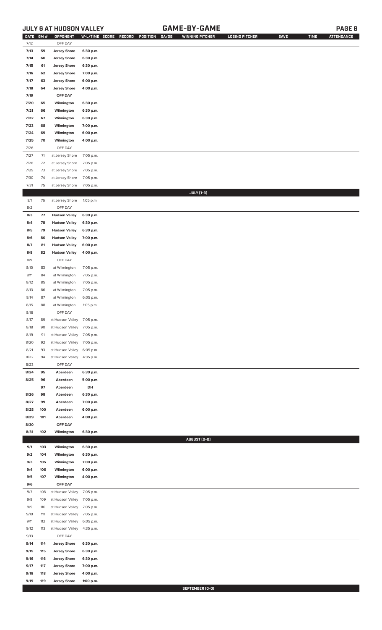## **JULY 6 AT HUDSON VALLEY GAME-BY-GAME PAGE 8**

| <b>DATE</b>  | GM#        | OPPONENT                                   | W-L/TIME SCORE         | RECORD<br>POSITION | GA/GB | <b>WINNING PITCHER</b> | <b>LOSING PITCHER</b> | <b>SAVE</b> | <b>TIME</b> | <b>ATTENDANCE</b> |
|--------------|------------|--------------------------------------------|------------------------|--------------------|-------|------------------------|-----------------------|-------------|-------------|-------------------|
| 7/12         |            | OFF DAY                                    |                        |                    |       |                        |                       |             |             |                   |
| 7/13         | 59         | <b>Jersey Shore</b>                        | 6:30 p.m.              |                    |       |                        |                       |             |             |                   |
| 7/14         | 60         | <b>Jersey Shore</b>                        | 6:30 p.m.              |                    |       |                        |                       |             |             |                   |
| 7/15<br>7/16 | 61<br>62   | <b>Jersey Shore</b><br><b>Jersey Shore</b> | 6:30 p.m.<br>7:00 p.m. |                    |       |                        |                       |             |             |                   |
| 7/17         | 63         | <b>Jersey Shore</b>                        | 6:00 p.m.              |                    |       |                        |                       |             |             |                   |
| 7/18         | 64         | <b>Jersey Shore</b>                        | 4:00 p.m.              |                    |       |                        |                       |             |             |                   |
| 7/19         |            | OFF DAY                                    |                        |                    |       |                        |                       |             |             |                   |
| 7/20         | 65         | Wilmington                                 | 6:30 p.m.              |                    |       |                        |                       |             |             |                   |
| 7/21         | 66         | Wilmington                                 | 6:30 p.m.              |                    |       |                        |                       |             |             |                   |
| 7/22         | 67         | Wilmington                                 | 6:30 p.m.              |                    |       |                        |                       |             |             |                   |
| 7/23         | 68         | Wilmington                                 | 7:00 p.m.              |                    |       |                        |                       |             |             |                   |
| 7/24         | 69         | Wilmington                                 | 6:00 p.m.              |                    |       |                        |                       |             |             |                   |
| 7/25         | 70         | Wilmington                                 | 4:00 p.m.              |                    |       |                        |                       |             |             |                   |
| 7/26         |            | OFF DAY                                    |                        |                    |       |                        |                       |             |             |                   |
| 7/27         | $71$       | at Jersey Shore                            | 7:05 p.m.              |                    |       |                        |                       |             |             |                   |
| $7/28$       | 72         | at Jersey Shore                            | 7:05 p.m.              |                    |       |                        |                       |             |             |                   |
| 7/29         | 73         | at Jersey Shore                            | 7:05 p.m.              |                    |       |                        |                       |             |             |                   |
| 7/30<br>7/31 | 74<br>75   | at Jersey Shore<br>at Jersey Shore         | 7:05 p.m.<br>7:05 p.m. |                    |       |                        |                       |             |             |                   |
|              |            |                                            |                        |                    |       | <b>JULY</b> [1-3]      |                       |             |             |                   |
| 8/1          | 76         | at Jersey Shore                            | 1:05 p.m.              |                    |       |                        |                       |             |             |                   |
| 8/2          |            | OFF DAY                                    |                        |                    |       |                        |                       |             |             |                   |
| 8/3          | 77         | <b>Hudson Valley</b>                       | 6:30 p.m.              |                    |       |                        |                       |             |             |                   |
| 8/4          | 78         | <b>Hudson Valley</b>                       | 6:30 p.m.              |                    |       |                        |                       |             |             |                   |
| 8/5          | 79         | <b>Hudson Valley</b>                       | 6:30 p.m.              |                    |       |                        |                       |             |             |                   |
| 8/6          | 80         | <b>Hudson Valley</b>                       | 7:00 p.m.              |                    |       |                        |                       |             |             |                   |
| 8/7          | 81         | <b>Hudson Valley</b>                       | 6:00 p.m.              |                    |       |                        |                       |             |             |                   |
| 8/8          | 82         | <b>Hudson Valley</b>                       | 4:00 p.m.              |                    |       |                        |                       |             |             |                   |
| 8/9          |            | OFF DAY                                    |                        |                    |       |                        |                       |             |             |                   |
| 8/10         | 83         | at Wilmington                              | 7:05 p.m.              |                    |       |                        |                       |             |             |                   |
| 8/11<br>8/12 | 84<br>85   | at Wilmington<br>at Wilmington             | 7:05 p.m.<br>7:05 p.m. |                    |       |                        |                       |             |             |                   |
| 8/13         | 86         | at Wilmington                              | 7:05 p.m.              |                    |       |                        |                       |             |             |                   |
| 8/14         | 87         | at Wilmington                              | 6:05 p.m.              |                    |       |                        |                       |             |             |                   |
| 8/15         | 88         | at Wilmington                              | 1:05 p.m.              |                    |       |                        |                       |             |             |                   |
| 8/16         |            | OFF DAY                                    |                        |                    |       |                        |                       |             |             |                   |
| 8/17         | 89         | at Hudson Valley                           | 7:05 p.m.              |                    |       |                        |                       |             |             |                   |
| 8/18         | 90         | at Hudson Valley                           | 7:05 p.m.              |                    |       |                        |                       |             |             |                   |
| 8/19         | 91         | at Hudson Valley                           | 7:05 p.m.              |                    |       |                        |                       |             |             |                   |
| 8/20<br>8/21 | 92<br>93   | at Hudson Valley<br>at Hudson Valley       | 7:05 p.m.<br>6:05 p.m. |                    |       |                        |                       |             |             |                   |
| 8/22         | 94         | at Hudson Valley                           | 4:35 p.m.              |                    |       |                        |                       |             |             |                   |
| 8/23         |            | OFF DAY                                    |                        |                    |       |                        |                       |             |             |                   |
| 8/24         | 95         | Aberdeen                                   | 6:30 p.m.              |                    |       |                        |                       |             |             |                   |
| 8/25         | 96         | Aberdeen                                   | 5:00 p.m.              |                    |       |                        |                       |             |             |                   |
|              | 97         | Aberdeen                                   | DH                     |                    |       |                        |                       |             |             |                   |
| 8/26         | 98         | Aberdeen                                   | 6:30 p.m.              |                    |       |                        |                       |             |             |                   |
| 8/27         | 99         | Aberdeen                                   | 7:00 p.m.              |                    |       |                        |                       |             |             |                   |
| 8/28         | 100        | Aberdeen                                   | 6:00 p.m.              |                    |       |                        |                       |             |             |                   |
| 8/29<br>8/30 | 101        | Aberdeen<br>OFF DAY                        | 4:00 p.m.              |                    |       |                        |                       |             |             |                   |
| 8/31         | 102        | Wilmington                                 | 6:30 p.m.              |                    |       |                        |                       |             |             |                   |
|              |            |                                            |                        |                    |       | AUGUST (0-0)           |                       |             |             |                   |
| 9/1          | 103        | Wilmington                                 | 6:30 p.m.              |                    |       |                        |                       |             |             |                   |
| 9/2          | 104        | Wilmington                                 | 6:30 p.m.              |                    |       |                        |                       |             |             |                   |
| 9/3          | 105        | Wilmington                                 | 7:00 p.m.              |                    |       |                        |                       |             |             |                   |
| 9/4          | 106        | Wilmington                                 | 6:00 p.m.              |                    |       |                        |                       |             |             |                   |
| 9/5          | 107        | Wilmington                                 | 4:00 p.m.              |                    |       |                        |                       |             |             |                   |
| 9/6<br>9/7   | 108        | OFF DAY<br>at Hudson Valley                | 7:05 p.m.              |                    |       |                        |                       |             |             |                   |
| 9/8          | 109        | at Hudson Valley                           | 7:05 p.m.              |                    |       |                        |                       |             |             |                   |
| 9/9          | 110        | at Hudson Valley                           | 7:05 p.m.              |                    |       |                        |                       |             |             |                   |
| 9/10         | 111        | at Hudson Valley                           | 7:05 p.m.              |                    |       |                        |                       |             |             |                   |
| 9/11         | 112        | at Hudson Valley                           | 6:05 p.m.              |                    |       |                        |                       |             |             |                   |
| 9/12         | 113        | at Hudson Valley                           | 4:35 p.m.              |                    |       |                        |                       |             |             |                   |
| 9/13         |            | OFF DAY                                    |                        |                    |       |                        |                       |             |             |                   |
| 9/14         | 114        | <b>Jersey Shore</b>                        | 6:30 p.m.              |                    |       |                        |                       |             |             |                   |
| 9/15         | 115        | <b>Jersey Shore</b>                        | 6:30 p.m.              |                    |       |                        |                       |             |             |                   |
| 9/16<br>9/17 | 116<br>117 | <b>Jersey Shore</b><br><b>Jersey Shore</b> | 6:30 p.m.<br>7:00 p.m. |                    |       |                        |                       |             |             |                   |
| 9/18         | 118        | <b>Jersey Shore</b>                        | 4:00 p.m.              |                    |       |                        |                       |             |             |                   |
| 9/19         | 119        | <b>Jersey Shore</b>                        | 1:00 p.m.              |                    |       |                        |                       |             |             |                   |
|              |            |                                            |                        |                    |       |                        |                       |             |             |                   |

**SEPTEMBER (0-0)**